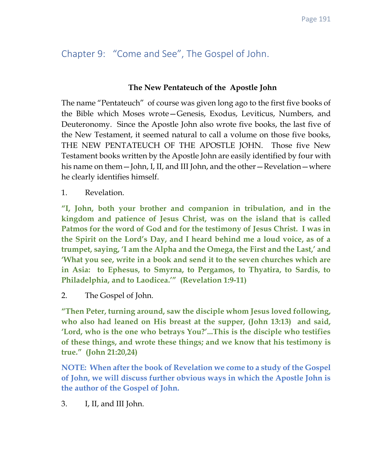# Chapter 9: "Come and See", The Gospel of John.

#### **The New Pentateuch of the Apostle John**

The name "Pentateuch" of course was given long ago to the first five books of the Bible which Moses wrote—Genesis, Exodus, Leviticus, Numbers, and Deuteronomy. Since the Apostle John also wrote five books, the last five of the New Testament, it seemed natural to call a volume on those five books, THE NEW PENTATEUCH OF THE APOSTLE JOHN. Those five New Testament books written by the Apostle John are easily identified by four with his name on them—John, I, II, and III John, and the other—Revelation—where he clearly identifies himself.

1. Revelation.

**"I, John, both your brother and companion in tribulation, and in the kingdom and patience of Jesus Christ, was on the island that is called Patmos for the word of God and for the testimony of Jesus Christ. I was in the Spirit on the Lord's Day, and I heard behind me a loud voice, as of a trumpet, saying, 'I am the Alpha and the Omega, the First and the Last,' and 'What you see, write in a book and send it to the seven churches which are in Asia: to Ephesus, to Smyrna, to Pergamos, to Thyatira, to Sardis, to Philadelphia, and to Laodicea.'" (Revelation 1:9-11)**

2. The Gospel of John.

**"Then Peter, turning around, saw the disciple whom Jesus loved following, who also had leaned on His breast at the supper, (John 13:13) and said, 'Lord, who is the one who betrays You?'...This is the disciple who testifies of these things, and wrote these things; and we know that his testimony is true." (John 21:20,24)**

**NOTE: When after the book of Revelation we come to a study of the Gospel of John, we will discuss further obvious ways in which the Apostle John is the author of the Gospel of John.**

3. I, II, and III John.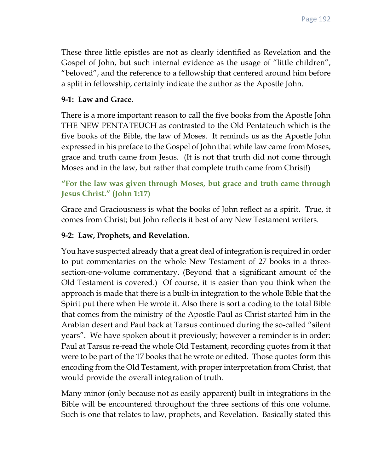These three little epistles are not as clearly identified as Revelation and the Gospel of John, but such internal evidence as the usage of "little children", "beloved", and the reference to a fellowship that centered around him before a split in fellowship, certainly indicate the author as the Apostle John.

#### **9-1: Law and Grace.**

There is a more important reason to call the five books from the Apostle John THE NEW PENTATEUCH as contrasted to the Old Pentateuch which is the five books of the Bible, the law of Moses. It reminds us as the Apostle John expressed in his preface to the Gospel of John that while law came from Moses, grace and truth came from Jesus. (It is not that truth did not come through Moses and in the law, but rather that complete truth came from Christ!)

# **"For the law was given through Moses, but grace and truth came through Jesus Christ." (John 1:17)**

Grace and Graciousness is what the books of John reflect as a spirit. True, it comes from Christ; but John reflects it best of any New Testament writers.

#### **9-2: Law, Prophets, and Revelation.**

You have suspected already that a great deal of integration is required in order to put commentaries on the whole New Testament of 27 books in a three section-one-volume commentary. (Beyond that a significant amount of the Old Testament is covered.) Of course, it is easier than you think when the approach is made that there is a built-in integration to the whole Bible that the Spirit put there when He wrote it. Also there is sort a coding to the total Bible that comes from the ministry of the Apostle Paul as Christ started him in the Arabian desert and Paul back at Tarsus continued during the so-called "silent years". We have spoken about it previously; however a reminder is in order: Paul at Tarsus re-read the whole Old Testament, recording quotes from it that were to be part of the 17 books that he wrote or edited. Those quotes form this encoding from the Old Testament, with proper interpretation from Christ, that would provide the overall integration of truth.

Many minor (only because not as easily apparent) built-in integrations in the Bible will be encountered throughout the three sections of this one volume. Such is one that relates to law, prophets, and Revelation. Basically stated this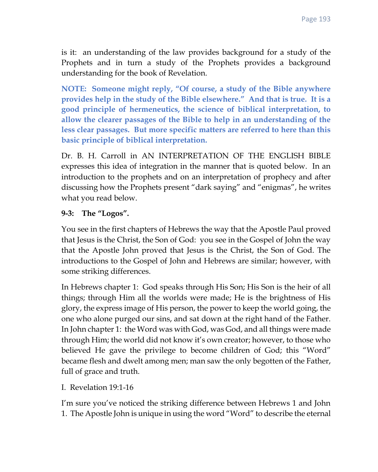is it: an understanding of the law provides background for a study of the Prophets and in turn a study of the Prophets provides a background understanding for the book of Revelation.

**NOTE: Someone might reply, "Of course, a study of the Bible anywhere provides help in the study of the Bible elsewhere." And that is true. It is a good principle of hermeneutics, the science of biblical interpretation, to allow the clearer passages of the Bible to help in an understanding of the less clear passages. But more specific matters are referred to here than this basic principle of biblical interpretation.**

Dr. B. H. Carroll in AN INTERPRETATION OF THE ENGLISH BIBLE expresses this idea of integration in the manner that is quoted below. In an introduction to the prophets and on an interpretation of prophecy and after discussing how the Prophets present "dark saying" and "enigmas", he writes what you read below.

## **9-3: The "Logos".**

You see in the first chapters of Hebrews the way that the Apostle Paul proved that Jesus is the Christ, the Son of God: you see in the Gospel of John the way that the Apostle John proved that Jesus is the Christ, the Son of God. The introductions to the Gospel of John and Hebrews are similar; however, with some striking differences.

In Hebrews chapter 1: God speaks through His Son; His Son is the heir of all things; through Him all the worlds were made; He is the brightness of His glory, the express image of His person, the power to keep the world going, the one who alone purged our sins, and sat down at the right hand of the Father. In John chapter 1: the Word was with God, was God, and all things were made through Him; the world did not know it's own creator; however, to those who believed He gave the privilege to become children of God; this "Word" became flesh and dwelt among men; man saw the only begotten of the Father, full of grace and truth.

#### I. Revelation 19:1-16

I'm sure you've noticed the striking difference between Hebrews 1 and John 1. The Apostle John is unique in using the word "Word" to describe the eternal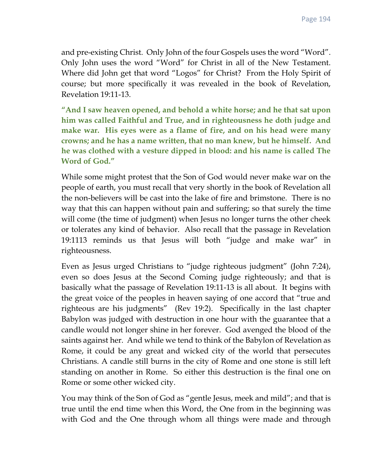and pre-existing Christ. Only John of the four Gospels uses the word "Word". Only John uses the word "Word" for Christ in all of the New Testament. Where did John get that word "Logos" for Christ? From the Holy Spirit of course; but more specifically it was revealed in the book of Revelation, Revelation 19:11-13.

**"And I saw heaven opened, and behold a white horse; and he that sat upon him was called Faithful and True, and in righteousness he doth judge and make war. His eyes were as a flame of fire, and on his head were many crowns; and he has a name written, that no man knew, but he himself. And he was clothed with a vesture dipped in blood: and his name is called The Word of God."**

While some might protest that the Son of God would never make war on the people of earth, you must recall that very shortly in the book of Revelation all the non-believers will be cast into the lake of fire and brimstone. There is no way that this can happen without pain and suffering; so that surely the time will come (the time of judgment) when Jesus no longer turns the other cheek or tolerates any kind of behavior. Also recall that the passage in Revelation 19:1113 reminds us that Jesus will both "judge and make war" in righteousness.

Even as Jesus urged Christians to "judge righteous judgment" (John 7:24), even so does Jesus at the Second Coming judge righteously; and that is basically what the passage of Revelation 19:11-13 is all about. It begins with the great voice of the peoples in heaven saying of one accord that "true and righteous are his judgments" (Rev 19:2). Specifically in the last chapter Babylon was judged with destruction in one hour with the guarantee that a candle would not longer shine in her forever. God avenged the blood of the saints against her. And while we tend to think of the Babylon of Revelation as Rome, it could be any great and wicked city of the world that persecutes Christians. A candle still burns in the city of Rome and one stone is still left standing on another in Rome. So either this destruction is the final one on Rome or some other wicked city.

You may think of the Son of God as "gentle Jesus, meek and mild"; and that is true until the end time when this Word, the One from in the beginning was with God and the One through whom all things were made and through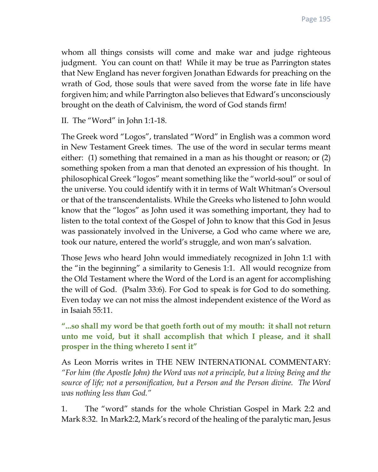whom all things consists will come and make war and judge righteous judgment. You can count on that! While it may be true as Parrington states that New England has never forgiven Jonathan Edwards for preaching on the wrath of God, those souls that were saved from the worse fate in life have forgiven him; and while Parrington also believes that Edward's unconsciously brought on the death of Calvinism, the word of God stands firm!

II. The "Word" in John 1:1-18.

The Greek word "Logos", translated "Word" in English was a common word in New Testament Greek times. The use of the word in secular terms meant either: (1) something that remained in a man as his thought or reason; or (2) something spoken from a man that denoted an expression of his thought. In philosophical Greek "logos" meant something like the "world-soul" or soul of the universe. You could identify with it in terms of Walt Whitman's Oversoul or that of the transcendentalists. While the Greeks who listened to John would know that the "logos" as John used it was something important, they had to listen to the total context of the Gospel of John to know that this God in Jesus was passionately involved in the Universe, a God who came where we are, took our nature, entered the world's struggle, and won man's salvation.

Those Jews who heard John would immediately recognized in John 1:1 with the "in the beginning" a similarity to Genesis 1:1. All would recognize from the Old Testament where the Word of the Lord is an agent for accomplishing the will of God. (Psalm 33:6). For God to speak is for God to do something. Even today we can not miss the almost independent existence of the Word as in Isaiah 55:11.

**"...so shall my word be that goeth forth out of my mouth: it shall not return unto me void, but it shall accomplish that which I please, and it shall prosper in the thing whereto I sent it"**

As Leon Morris writes in THE NEW INTERNATIONAL COMMENTARY: *"For him (the Apostle John) the Word was not a principle, but a living Being and the source of life; not a personification, but a Person and the Person divine. The Word was nothing less than God."*

1. The "word" stands for the whole Christian Gospel in Mark 2:2 and Mark 8:32. In Mark2:2, Mark's record of the healing of the paralytic man, Jesus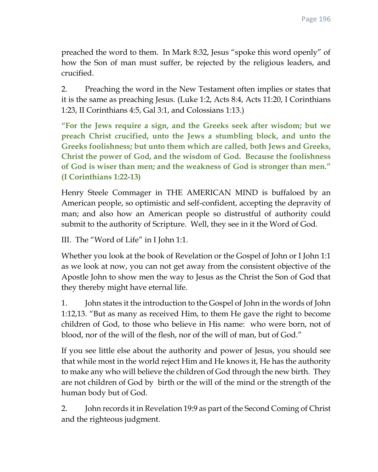preached the word to them. In Mark 8:32, Jesus "spoke this word openly" of how the Son of man must suffer, be rejected by the religious leaders, and crucified.

2. Preaching the word in the New Testament often implies or states that it is the same as preaching Jesus. (Luke 1:2, Acts 8:4, Acts 11:20, I Corinthians 1:23, II Corinthians 4:5, Gal 3:1, and Colossians 1:13.)

**"For the Jews require a sign, and the Greeks seek after wisdom; but we preach Christ crucified, unto the Jews a stumbling block, and unto the Greeks foolishness; but unto them which are called, both Jews and Greeks, Christ the power of God, and the wisdom of God. Because the foolishness of God is wiser than men; and the weakness of God is stronger than men." (I Corinthians 1:22-13)**

Henry Steele Commager in THE AMERICAN MIND is buffaloed by an American people, so optimistic and self-confident, accepting the depravity of man; and also how an American people so distrustful of authority could submit to the authority of Scripture. Well, they see in it the Word of God.

III. The "Word of Life" in I John 1:1.

Whether you look at the book of Revelation or the Gospel of John or I John 1:1 as we look at now, you can not get away from the consistent objective of the Apostle John to show men the way to Jesus as the Christ the Son of God that they thereby might have eternal life.

1. John states it the introduction to the Gospel of John in the words of John 1:12,13. "But as many as received Him, to them He gave the right to become children of God, to those who believe in His name: who were born, not of blood, nor of the will of the flesh, nor of the will of man, but of God."

If you see little else about the authority and power of Jesus, you should see that while most in the world reject Him and He knows it, He has the authority to make any who will believe the children of God through the new birth. They are not children of God by birth or the will of the mind or the strength of the human body but of God.

2. John records it in Revelation 19:9 as part of the Second Coming of Christ and the righteous judgment.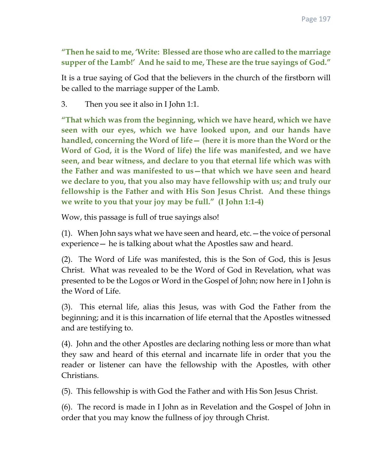**"Then he said to me, 'Write: Blessed are those who are called to the marriage supper of the Lamb!' And he said to me, These are the true sayings of God."**

It is a true saying of God that the believers in the church of the firstborn will be called to the marriage supper of the Lamb.

3. Then you see it also in I John 1:1.

**"That which was from the beginning, which we have heard, which we have seen with our eyes, which we have looked upon, and our hands have handled, concerning the Word of life— (here it is more than the Word or the Word of God, it is the Word of life) the life was manifested, and we have seen, and bear witness, and declare to you that eternal life which was with the Father and was manifested to us—that which we have seen and heard we declare to you, that you also may have fellowship with us; and truly our fellowship is the Father and with His Son Jesus Christ. And these things we write to you that your joy may be full." (I John 1:1-4)**

Wow, this passage is full of true sayings also!

(1). When John says what we have seen and heard, etc.—the voice of personal experience— he is talking about what the Apostles saw and heard.

(2). The Word of Life was manifested, this is the Son of God, this is Jesus Christ. What was revealed to be the Word of God in Revelation, what was presented to be the Logos or Word in the Gospel of John; now here in I John is the Word of Life.

(3). This eternal life, alias this Jesus, was with God the Father from the beginning; and it is this incarnation of life eternal that the Apostles witnessed and are testifying to.

(4). John and the other Apostles are declaring nothing less or more than what they saw and heard of this eternal and incarnate life in order that you the reader or listener can have the fellowship with the Apostles, with other Christians.

(5). This fellowship is with God the Father and with His Son Jesus Christ.

(6). The record is made in I John as in Revelation and the Gospel of John in order that you may know the fullness of joy through Christ.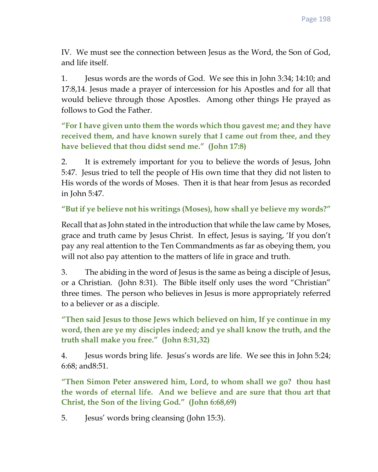IV. We must see the connection between Jesus as the Word, the Son of God, and life itself.

1. Jesus words are the words of God. We see this in John 3:34; 14:10; and 17:8,14. Jesus made a prayer of intercession for his Apostles and for all that would believe through those Apostles. Among other things He prayed as follows to God the Father.

**"For I have given unto them the words which thou gavest me; and they have received them, and have known surely that I came out from thee, and they have believed that thou didst send me." (John 17:8)**

2. It is extremely important for you to believe the words of Jesus, John 5:47. Jesus tried to tell the people of His own time that they did not listen to His words of the words of Moses. Then it is that hear from Jesus as recorded in John 5:47.

**"But if ye believe not his writings (Moses), how shall ye believe my words?"**

Recall that as John stated in the introduction that while the law came by Moses, grace and truth came by Jesus Christ. In effect, Jesus is saying, 'If you don't pay any real attention to the Ten Commandments as far as obeying them, you will not also pay attention to the matters of life in grace and truth.

3. The abiding in the word of Jesus is the same as being a disciple of Jesus, or a Christian. (John 8:31). The Bible itself only uses the word "Christian" three times. The person who believes in Jesus is more appropriately referred to a believer or as a disciple.

**"Then said Jesus to those Jews which believed on him, If ye continue in my word, then are ye my disciples indeed; and ye shall know the truth, and the truth shall make you free." (John 8:31,32)**

4. Jesus words bring life. Jesus's words are life. We see this in John 5:24; 6:68; and8:51.

**"Then Simon Peter answered him, Lord, to whom shall we go? thou hast the words of eternal life. And we believe and are sure that thou art that Christ, the Son of the living God." (John 6:68,69)**

5. Jesus' words bring cleansing (John 15:3).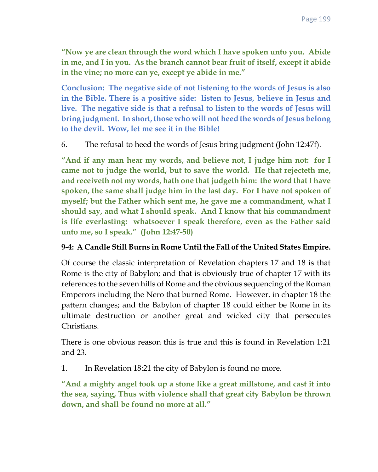**"Now ye are clean through the word which I have spoken unto you. Abide in me, and I in you. As the branch cannot bear fruit of itself, except it abide in the vine; no more can ye, except ye abide in me."**

**Conclusion: The negative side of not listening to the words of Jesus is also in the Bible. There is a positive side: listen to Jesus, believe in Jesus and live. The negative side is that a refusal to listen to the words of Jesus will bring judgment. In short, those who will not heed the words of Jesus belong to the devil. Wow, let me see it in the Bible!**

6. The refusal to heed the words of Jesus bring judgment (John 12:47f).

**"And if any man hear my words, and believe not, I judge him not: for I came not to judge the world, but to save the world. He that rejecteth me, and receiveth not my words, hath one that judgeth him: the word that I have spoken, the same shall judge him in the last day. For I have not spoken of myself; but the Father which sent me, he gave me a commandment, what I should say, and what I should speak. And I know that his commandment is life everlasting: whatsoever I speak therefore, even as the Father said unto me, so I speak." (John 12:47-50)**

#### **9-4: A Candle Still Burns in Rome Until the Fall of the United States Empire.**

Of course the classic interpretation of Revelation chapters 17 and 18 is that Rome is the city of Babylon; and that is obviously true of chapter 17 with its references to the seven hills of Rome and the obvious sequencing of the Roman Emperors including the Nero that burned Rome. However, in chapter 18 the pattern changes; and the Babylon of chapter 18 could either be Rome in its ultimate destruction or another great and wicked city that persecutes Christians.

There is one obvious reason this is true and this is found in Revelation 1:21 and 23.

1. In Revelation 18:21 the city of Babylon is found no more.

**"And a mighty angel took up a stone like a great millstone, and cast it into the sea, saying, Thus with violence shall that great city Babylon be thrown down, and shall be found no more at all."**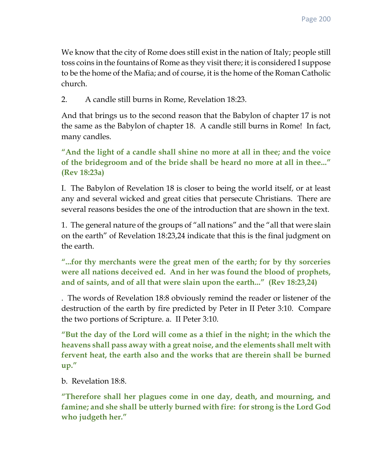We know that the city of Rome does still exist in the nation of Italy; people still toss coins in the fountains of Rome as they visit there; it is considered I suppose to be the home of the Mafia; and of course, it is the home of the Roman Catholic church.

2. A candle still burns in Rome, Revelation 18:23.

And that brings us to the second reason that the Babylon of chapter 17 is not the same as the Babylon of chapter 18. A candle still burns in Rome! In fact, many candles.

**"And the light of a candle shall shine no more at all in thee; and the voice of the bridegroom and of the bride shall be heard no more at all in thee..." (Rev 18:23a)**

I. The Babylon of Revelation 18 is closer to being the world itself, or at least any and several wicked and great cities that persecute Christians. There are several reasons besides the one of the introduction that are shown in the text.

1. The general nature of the groups of "all nations" and the "all that were slain on the earth" of Revelation 18:23,24 indicate that this is the final judgment on the earth.

**"...for thy merchants were the great men of the earth; for by thy sorceries were all nations deceived ed. And in her was found the blood of prophets, and of saints, and of all that were slain upon the earth..." (Rev 18:23,24)**

. The words of Revelation 18:8 obviously remind the reader or listener of the destruction of the earth by fire predicted by Peter in II Peter 3:10. Compare the two portions of Scripture. a. II Peter 3:10.

**"But the day of the Lord will come as a thief in the night; in the which the heavens shall pass away with a great noise, and the elements shall melt with fervent heat, the earth also and the works that are therein shall be burned up."**

b. Revelation 18:8.

**"Therefore shall her plagues come in one day, death, and mourning, and famine; and she shall be utterly burned with fire: for strong is the Lord God who judgeth her."**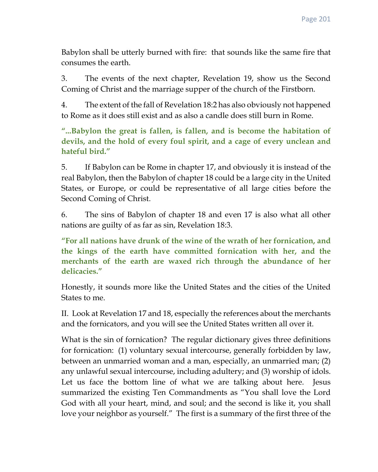Babylon shall be utterly burned with fire: that sounds like the same fire that consumes the earth.

3. The events of the next chapter, Revelation 19, show us the Second Coming of Christ and the marriage supper of the church of the Firstborn.

4. The extent of the fall of Revelation 18:2 has also obviously not happened to Rome as it does still exist and as also a candle does still burn in Rome.

**"...Babylon the great is fallen, is fallen, and is become the habitation of devils, and the hold of every foul spirit, and a cage of every unclean and hateful bird."**

5. If Babylon can be Rome in chapter 17, and obviously it is instead of the real Babylon, then the Babylon of chapter 18 could be a large city in the United States, or Europe, or could be representative of all large cities before the Second Coming of Christ.

6. The sins of Babylon of chapter 18 and even 17 is also what all other nations are guilty of as far as sin, Revelation 18:3.

**"For all nations have drunk of the wine of the wrath of her fornication, and the kings of the earth have committed fornication with her, and the merchants of the earth are waxed rich through the abundance of her delicacies."**

Honestly, it sounds more like the United States and the cities of the United States to me.

II. Look at Revelation 17 and 18, especially the references about the merchants and the fornicators, and you will see the United States written all over it.

What is the sin of fornication? The regular dictionary gives three definitions for fornication: (1) voluntary sexual intercourse, generally forbidden by law, between an unmarried woman and a man, especially, an unmarried man; (2) any unlawful sexual intercourse, including adultery; and (3) worship of idols. Let us face the bottom line of what we are talking about here. Jesus summarized the existing Ten Commandments as "You shall love the Lord God with all your heart, mind, and soul; and the second is like it, you shall love your neighbor as yourself." The first is a summary of the first three of the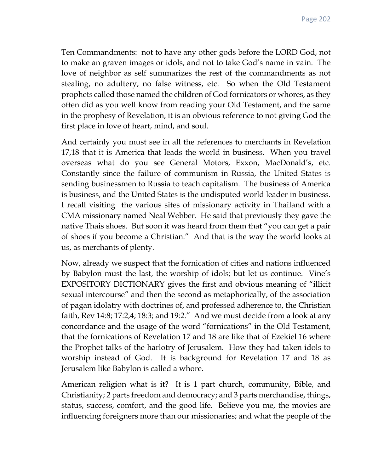Ten Commandments: not to have any other gods before the LORD God, not to make an graven images or idols, and not to take God's name in vain. The love of neighbor as self summarizes the rest of the commandments as not stealing, no adultery, no false witness, etc. So when the Old Testament prophets called those named the children of God fornicators or whores, as they often did as you well know from reading your Old Testament, and the same in the prophesy of Revelation, it is an obvious reference to not giving God the first place in love of heart, mind, and soul.

And certainly you must see in all the references to merchants in Revelation 17,18 that it is America that leads the world in business. When you travel overseas what do you see General Motors, Exxon, MacDonald's, etc. Constantly since the failure of communism in Russia, the United States is sending businessmen to Russia to teach capitalism. The business of America is business, and the United States is the undisputed world leader in business. I recall visiting the various sites of missionary activity in Thailand with a CMA missionary named Neal Webber. He said that previously they gave the native Thais shoes. But soon it was heard from them that "you can get a pair of shoes if you become a Christian." And that is the way the world looks at us, as merchants of plenty.

Now, already we suspect that the fornication of cities and nations influenced by Babylon must the last, the worship of idols; but let us continue. Vine's EXPOSITORY DICTIONARY gives the first and obvious meaning of "illicit sexual intercourse" and then the second as metaphorically, of the association of pagan idolatry with doctrines of, and professed adherence to, the Christian faith, Rev 14:8; 17:2,4; 18:3; and 19:2." And we must decide from a look at any concordance and the usage of the word "fornications" in the Old Testament, that the fornications of Revelation 17 and 18 are like that of Ezekiel 16 where the Prophet talks of the harlotry of Jerusalem. How they had taken idols to worship instead of God. It is background for Revelation 17 and 18 as Jerusalem like Babylon is called a whore.

American religion what is it? It is 1 part church, community, Bible, and Christianity; 2 parts freedom and democracy; and 3 parts merchandise, things, status, success, comfort, and the good life. Believe you me, the movies are influencing foreigners more than our missionaries; and what the people of the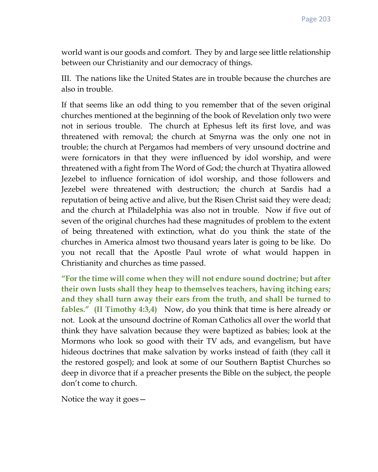world want is our goods and comfort. They by and large see little relationship between our Christianity and our democracy of things.

III. The nations like the United States are in trouble because the churches are also in trouble.

If that seems like an odd thing to you remember that of the seven original churches mentioned at the beginning of the book of Revelation only two were not in serious trouble. The church at Ephesus left its first love, and was threatened with removal; the church at Smyrna was the only one not in trouble; the church at Pergamos had members of very unsound doctrine and were fornicators in that they were influenced by idol worship, and were threatened with a fight from The Word of God; the church at Thyatira allowed Jezebel to influence fornication of idol worship, and those followers and Jezebel were threatened with destruction; the church at Sardis had a reputation of being active and alive, but the Risen Christ said they were dead; and the church at Philadelphia was also not in trouble. Now if five out of seven of the original churches had these magnitudes of problem to the extent of being threatened with extinction, what do you think the state of the churches in America almost two thousand years later is going to be like. Do you not recall that the Apostle Paul wrote of what would happen in Christianity and churches as time passed.

**"For the time will come when they will not endure sound doctrine; but after their own lusts shall they heap to themselves teachers, having itching ears; and they shall turn away their ears from the truth, and shall be turned to fables." (II Timothy 4:3,4)** Now, do you think that time is here already or not. Look at the unsound doctrine of Roman Catholics all over the world that think they have salvation because they were baptized as babies; look at the Mormons who look so good with their TV ads, and evangelism, but have hideous doctrines that make salvation by works instead of faith (they call it the restored gospel); and look at some of our Southern Baptist Churches so deep in divorce that if a preacher presents the Bible on the subject, the people don't come to church.

Notice the way it goes—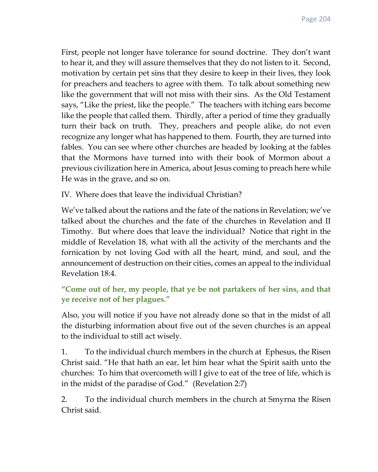First, people not longer have tolerance for sound doctrine. They don't want to hear it, and they will assure themselves that they do not listen to it. Second, motivation by certain pet sins that they desire to keep in their lives, they look for preachers and teachers to agree with them. To talk about something new like the government that will not miss with their sins. As the Old Testament says, "Like the priest, like the people." The teachers with itching ears become like the people that called them. Thirdly, after a period of time they gradually turn their back on truth. They, preachers and people alike, do not even recognize any longer what has happened to them. Fourth, they are turned into fables. You can see where other churches are headed by looking at the fables that the Mormons have turned into with their book of Mormon about a previous civilization here in America, about Jesus coming to preach here while He was in the grave, and so on.

IV. Where does that leave the individual Christian?

We've talked about the nations and the fate of the nations in Revelation; we've talked about the churches and the fate of the churches in Revelation and II Timothy. But where does that leave the individual? Notice that right in the middle of Revelation 18, what with all the activity of the merchants and the fornication by not loving God with all the heart, mind, and soul, and the announcement of destruction on their cities, comes an appeal to the individual Revelation 18:4.

# **"Come out of her, my people, that ye be not partakers of her sins, and that ye receive not of her plagues."**

Also, you will notice if you have not already done so that in the midst of all the disturbing information about five out of the seven churches is an appeal to the individual to still act wisely.

1. To the individual church members in the church at Ephesus, the Risen Christ said. "He that hath an ear, let him hear what the Spirit saith unto the churches: To him that overcometh will I give to eat of the tree of life, which is in the midst of the paradise of God." (Revelation 2:7)

2. To the individual church members in the church at Smyrna the Risen Christ said.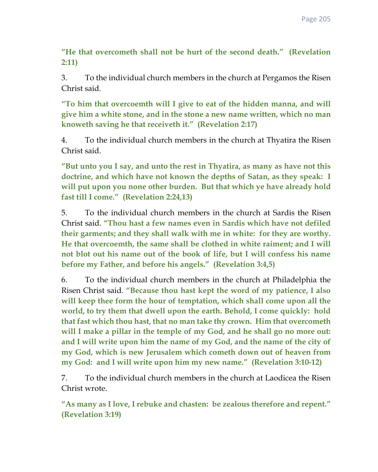**"He that overcometh shall not be hurt of the second death." (Revelation 2:11)**

3. To the individual church members in the church at Pergamos the Risen Christ said.

**"To him that overcoemth will I give to eat of the hidden manna, and will give him a white stone, and in the stone a new name written, which no man knoweth saving he that receiveth it." (Revelation 2:17)**

4. To the individual church members in the church at Thyatira the Risen Christ said.

**"But unto you I say, and unto the rest in Thyatira, as many as have not this doctrine, and which have not known the depths of Satan, as they speak: I will put upon you none other burden. But that which ye have already hold fast till I come." (Revelation 2:24,13)**

5. To the individual church members in the church at Sardis the Risen Christ said**. "Thou hast a few names even in Sardis which have not defiled their garments; and they shall walk with me in white: for they are worthy. He that overcoemth, the same shall be clothed in white raiment; and I will not blot out his name out of the book of life, but I will confess his name before my Father, and before his angels." (Revelation 3:4,5)**

6. To the individual church members in the church at Philadelphia the Risen Christ said. **"Because thou hast kept the word of my patience, I also will keep thee form the hour of temptation, which shall come upon all the world, to try them that dwell upon the earth. Behold, I come quickly: hold that fast which thou hast, that no man take thy crown. Him that overcometh will I make a pillar in the temple of my God, and he shall go no more out: and I will write upon him the name of my God, and the name of the city of my God, which is new Jerusalem which cometh down out of heaven from my God: and I will write upon him my new name." (Revelation 3:10-12)**

7. To the individual church members in the church at Laodicea the Risen Christ wrote.

**"As many as I love, I rebuke and chasten: be zealous therefore and repent." (Revelation 3:19)**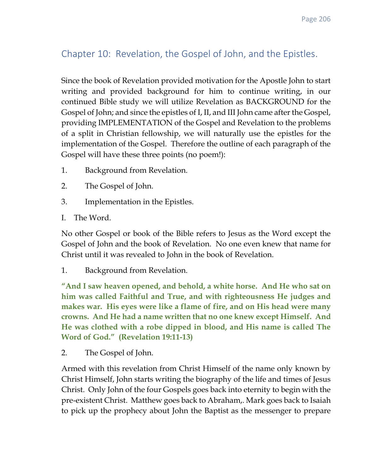# Chapter 10: Revelation, the Gospel of John, and the Epistles.

Since the book of Revelation provided motivation for the Apostle John to start writing and provided background for him to continue writing, in our continued Bible study we will utilize Revelation as BACKGROUND for the Gospel of John; and since the epistles of I, II, and III John came after the Gospel, providing IMPLEMENTATION of the Gospel and Revelation to the problems of a split in Christian fellowship, we will naturally use the epistles for the implementation of the Gospel. Therefore the outline of each paragraph of the Gospel will have these three points (no poem!):

- 1. Background from Revelation.
- 2. The Gospel of John.
- 3. Implementation in the Epistles.
- I. The Word.

No other Gospel or book of the Bible refers to Jesus as the Word except the Gospel of John and the book of Revelation. No one even knew that name for Christ until it was revealed to John in the book of Revelation.

1. Background from Revelation.

**"And I saw heaven opened, and behold, a white horse. And He who sat on him was called Faithful and True, and with righteousness He judges and makes war. His eyes were like a flame of fire, and on His head were many crowns. And He had a name written that no one knew except Himself. And He was clothed with a robe dipped in blood, and His name is called The Word of God." (Revelation 19:11-13)**

2. The Gospel of John.

Armed with this revelation from Christ Himself of the name only known by Christ Himself, John starts writing the biography of the life and times of Jesus Christ. Only John of the four Gospels goes back into eternity to begin with the pre-existent Christ. Matthew goes back to Abraham,. Mark goes back to Isaiah to pick up the prophecy about John the Baptist as the messenger to prepare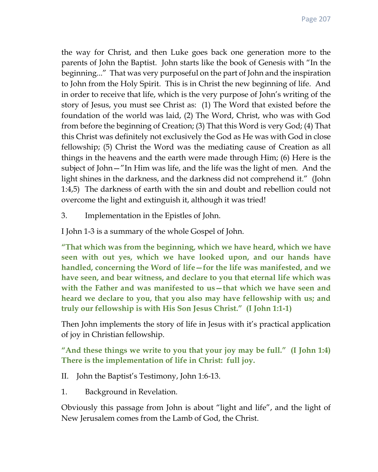the way for Christ, and then Luke goes back one generation more to the parents of John the Baptist. John starts like the book of Genesis with "In the beginning..." That was very purposeful on the part of John and the inspiration to John from the Holy Spirit. This is in Christ the new beginning of life. And in order to receive that life, which is the very purpose of John's writing of the story of Jesus, you must see Christ as: (1) The Word that existed before the foundation of the world was laid, (2) The Word, Christ, who was with God from before the beginning of Creation; (3) That this Word is very God; (4) That this Christ was definitely not exclusively the God as He was with God in close fellowship; (5) Christ the Word was the mediating cause of Creation as all things in the heavens and the earth were made through Him; (6) Here is the subject of John—"In Him was life, and the life was the light of men. And the light shines in the darkness, and the darkness did not comprehend it." (John 1:4,5) The darkness of earth with the sin and doubt and rebellion could not overcome the light and extinguish it, although it was tried!

3. Implementation in the Epistles of John.

I John 1-3 is a summary of the whole Gospel of John.

**"That which was from the beginning, which we have heard, which we have seen with out yes, which we have looked upon, and our hands have handled, concerning the Word of life—for the life was manifested, and we have seen, and bear witness, and declare to you that eternal life which was with the Father and was manifested to us—that which we have seen and heard we declare to you, that you also may have fellowship with us; and truly our fellowship is with His Son Jesus Christ." (I John 1:1-1)**

Then John implements the story of life in Jesus with it's practical application of joy in Christian fellowship.

**"And these things we write to you that your joy may be full." (I John 1:4) There is the implementation of life in Christ: full joy.**

- II. John the Baptist's Testimony, John 1:6-13.
- 1. Background in Revelation.

Obviously this passage from John is about "light and life", and the light of New Jerusalem comes from the Lamb of God, the Christ.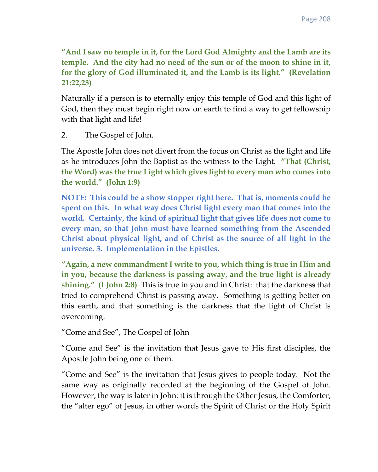**"And I saw no temple in it, for the Lord God Almighty and the Lamb are its temple. And the city had no need of the sun or of the moon to shine in it, for the glory of God illuminated it, and the Lamb is its light." (Revelation 21:22,23)**

Naturally if a person is to eternally enjoy this temple of God and this light of God, then they must begin right now on earth to find a way to get fellowship with that light and life!

2. The Gospel of John.

The Apostle John does not divert from the focus on Christ as the light and life as he introduces John the Baptist as the witness to the Light. **"That (Christ, the Word) was the true Light which gives light to every man who comes into the world." (John 1:9)**

**NOTE: This could be a show stopper right here. That is, moments could be spent on this. In what way does Christ light every man that comes into the world. Certainly, the kind of spiritual light that gives life does not come to every man, so that John must have learned something from the Ascended Christ about physical light, and of Christ as the source of all light in the universe. 3. Implementation in the Epistles.**

**"Again, a new commandment I write to you, which thing is true in Him and in you, because the darkness is passing away, and the true light is already shining." (I John 2:8)** This is true in you and in Christ: that the darkness that tried to comprehend Christ is passing away. Something is getting better on this earth, and that something is the darkness that the light of Christ is overcoming.

"Come and See", The Gospel of John

"Come and See" is the invitation that Jesus gave to His first disciples, the Apostle John being one of them.

"Come and See" is the invitation that Jesus gives to people today. Not the same way as originally recorded at the beginning of the Gospel of John. However, the way is later in John: it is through the Other Jesus, the Comforter, the "alter ego" of Jesus, in other words the Spirit of Christ or the Holy Spirit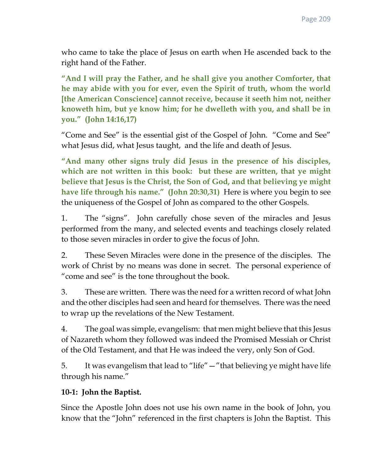who came to take the place of Jesus on earth when He ascended back to the right hand of the Father.

**"And I will pray the Father, and he shall give you another Comforter, that he may abide with you for ever, even the Spirit of truth, whom the world [the American Conscience] cannot receive, because it seeth him not, neither knoweth him, but ye know him; for he dwelleth with you, and shall be in you." (John 14:16,17)**

"Come and See" is the essential gist of the Gospel of John. "Come and See" what Jesus did, what Jesus taught, and the life and death of Jesus.

**"And many other signs truly did Jesus in the presence of his disciples, which are not written in this book: but these are written, that ye might believe that Jesus is the Christ, the Son of God, and that believing ye might have life through his name." (John 20:30,31)** Here is where you begin to see the uniqueness of the Gospel of John as compared to the other Gospels.

1. The "signs". John carefully chose seven of the miracles and Jesus performed from the many, and selected events and teachings closely related to those seven miracles in order to give the focus of John.

2. These Seven Miracles were done in the presence of the disciples. The work of Christ by no means was done in secret. The personal experience of "come and see" is the tone throughout the book.

3. These are written. There was the need for a written record of what John and the other disciples had seen and heard for themselves. There was the need to wrap up the revelations of the New Testament.

4. The goal was simple, evangelism: that men might believe that this Jesus of Nazareth whom they followed was indeed the Promised Messiah or Christ of the Old Testament, and that He was indeed the very, only Son of God.

5. It was evangelism that lead to "life"—"that believing ye might have life through his name."

## **10-1: John the Baptist.**

Since the Apostle John does not use his own name in the book of John, you know that the "John" referenced in the first chapters is John the Baptist. This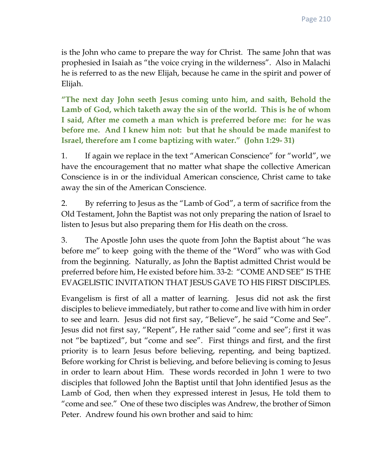is the John who came to prepare the way for Christ. The same John that was prophesied in Isaiah as "the voice crying in the wilderness". Also in Malachi he is referred to as the new Elijah, because he came in the spirit and power of Elijah.

**"The next day John seeth Jesus coming unto him, and saith, Behold the Lamb of God, which taketh away the sin of the world. This is he of whom I said, After me cometh a man which is preferred before me: for he was before me. And I knew him not: but that he should be made manifest to Israel, therefore am I come baptizing with water." (John 1:29- 31)**

1. If again we replace in the text "American Conscience" for "world", we have the encouragement that no matter what shape the collective American Conscience is in or the individual American conscience, Christ came to take away the sin of the American Conscience.

2. By referring to Jesus as the "Lamb of God", a term of sacrifice from the Old Testament, John the Baptist was not only preparing the nation of Israel to listen to Jesus but also preparing them for His death on the cross.

3. The Apostle John uses the quote from John the Baptist about "he was before me" to keep going with the theme of the "Word" who was with God from the beginning. Naturally, as John the Baptist admitted Christ would be preferred before him, He existed before him. 33-2: "COME AND SEE" IS THE EVAGELISTIC INVITATION THAT JESUS GAVE TO HIS FIRST DISCIPLES.

Evangelism is first of all a matter of learning. Jesus did not ask the first disciples to believe immediately, but rather to come and live with him in order to see and learn. Jesus did not first say, "Believe", he said "Come and See". Jesus did not first say, "Repent", He rather said "come and see"; first it was not "be baptized", but "come and see". First things and first, and the first priority is to learn Jesus before believing, repenting, and being baptized. Before working for Christ is believing, and before believing is coming to Jesus in order to learn about Him. These words recorded in John 1 were to two disciples that followed John the Baptist until that John identified Jesus as the Lamb of God, then when they expressed interest in Jesus, He told them to "come and see." One of these two disciples was Andrew, the brother of Simon Peter. Andrew found his own brother and said to him: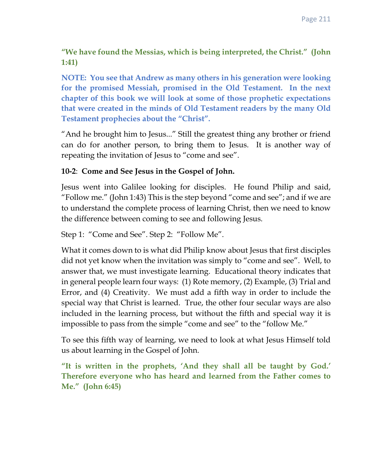# **"We have found the Messias, which is being interpreted, the Christ." (John 1:41)**

**NOTE: You see that Andrew as many others in his generation were looking for the promised Messiah, promised in the Old Testament. In the next chapter of this book we will look at some of those prophetic expectations that were created in the minds of Old Testament readers by the many Old Testament prophecies about the "Christ".**

"And he brought him to Jesus..." Still the greatest thing any brother or friend can do for another person, to bring them to Jesus. It is another way of repeating the invitation of Jesus to "come and see".

## **10-2**: **Come and See Jesus in the Gospel of John.**

Jesus went into Galilee looking for disciples. He found Philip and said, "Follow me." (John 1:43) This is the step beyond "come and see"; and if we are to understand the complete process of learning Christ, then we need to know the difference between coming to see and following Jesus.

```
Step 1: "Come and See". Step 2: "Follow Me".
```
What it comes down to is what did Philip know about Jesus that first disciples did not yet know when the invitation was simply to "come and see". Well, to answer that, we must investigate learning. Educational theory indicates that in general people learn four ways: (1) Rote memory, (2) Example, (3) Trial and Error, and (4) Creativity. We must add a fifth way in order to include the special way that Christ is learned. True, the other four secular ways are also included in the learning process, but without the fifth and special way it is impossible to pass from the simple "come and see" to the "follow Me."

To see this fifth way of learning, we need to look at what Jesus Himself told us about learning in the Gospel of John.

**"It is written in the prophets, 'And they shall all be taught by God.' Therefore everyone who has heard and learned from the Father comes to Me." (John 6:45)**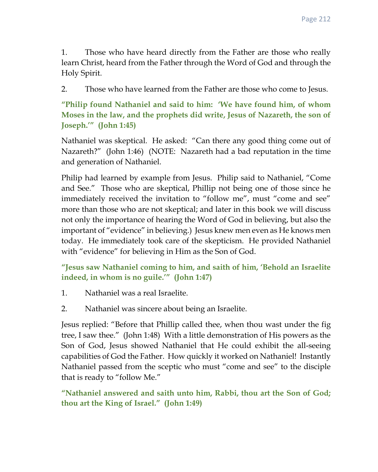1. Those who have heard directly from the Father are those who really learn Christ, heard from the Father through the Word of God and through the Holy Spirit.

2. Those who have learned from the Father are those who come to Jesus.

**"Philip found Nathaniel and said to him: 'We have found him, of whom Moses in the law, and the prophets did write, Jesus of Nazareth, the son of Joseph.'" (John 1:45)**

Nathaniel was skeptical. He asked: "Can there any good thing come out of Nazareth?" (John 1:46) (NOTE: Nazareth had a bad reputation in the time and generation of Nathaniel.

Philip had learned by example from Jesus. Philip said to Nathaniel, "Come and See." Those who are skeptical, Phillip not being one of those since he immediately received the invitation to "follow me", must "come and see" more than those who are not skeptical; and later in this book we will discuss not only the importance of hearing the Word of God in believing, but also the important of "evidence" in believing.) Jesus knew men even as He knows men today. He immediately took care of the skepticism. He provided Nathaniel with "evidence" for believing in Him as the Son of God.

**"Jesus saw Nathaniel coming to him, and saith of him, 'Behold an Israelite indeed, in whom is no guile.'" (John 1:47)**

- 1. Nathaniel was a real Israelite.
- 2. Nathaniel was sincere about being an Israelite.

Jesus replied: "Before that Phillip called thee, when thou wast under the fig tree, I saw thee." (John 1:48) With a little demonstration of His powers as the Son of God, Jesus showed Nathaniel that He could exhibit the all-seeing capabilities of God the Father. How quickly it worked on Nathaniel! Instantly Nathaniel passed from the sceptic who must "come and see" to the disciple that is ready to "follow Me."

**"Nathaniel answered and saith unto him, Rabbi, thou art the Son of God; thou art the King of Israel." (John 1:49)**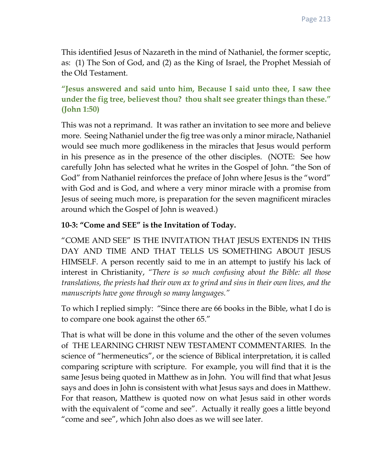This identified Jesus of Nazareth in the mind of Nathaniel, the former sceptic, as: (1) The Son of God, and (2) as the King of Israel, the Prophet Messiah of the Old Testament.

**"Jesus answered and said unto him, Because I said unto thee, I saw thee under the fig tree, believest thou? thou shalt see greater things than these." (John 1:50)**

This was not a reprimand. It was rather an invitation to see more and believe more. Seeing Nathaniel under the fig tree was only a minor miracle, Nathaniel would see much more godlikeness in the miracles that Jesus would perform in his presence as in the presence of the other disciples. (NOTE: See how carefully John has selected what he writes in the Gospel of John. "the Son of God" from Nathaniel reinforces the preface of John where Jesus is the "word" with God and is God, and where a very minor miracle with a promise from Jesus of seeing much more, is preparation for the seven magnificent miracles around which the Gospel of John is weaved.)

#### **10-3: "Come and SEE" is the Invitation of Today.**

"COME AND SEE" IS THE INVITATION THAT JESUS EXTENDS IN THIS DAY AND TIME AND THAT TELLS US SOMETHING ABOUT JESUS HIMSELF. A person recently said to me in an attempt to justify his lack of interest in Christianity, *"There is so much confusing about the Bible: all those translations, the priests had their own ax to grind and sins in their own lives, and the manuscripts have gone through so many languages."*

To which I replied simply: "Since there are 66 books in the Bible, what I do is to compare one book against the other 65."

That is what will be done in this volume and the other of the seven volumes of THE LEARNING CHRIST NEW TESTAMENT COMMENTARIES. In the science of "hermeneutics", or the science of Biblical interpretation, it is called comparing scripture with scripture. For example, you will find that it is the same Jesus being quoted in Matthew as in John. You will find that what Jesus says and does in John is consistent with what Jesus says and does in Matthew. For that reason, Matthew is quoted now on what Jesus said in other words with the equivalent of "come and see". Actually it really goes a little beyond "come and see", which John also does as we will see later.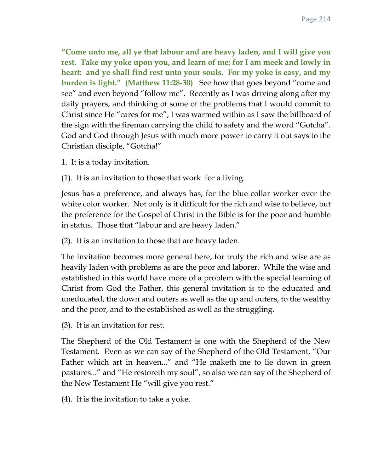**"Come unto me, all ye that labour and are heavy laden, and I will give you rest. Take my yoke upon you, and learn of me; for I am meek and lowly in heart: and ye shall find rest unto your souls. For my yoke is easy, and my burden is light." (Matthew 11:28-30)** See how that goes beyond "come and see" and even beyond "follow me". Recently as I was driving along after my daily prayers, and thinking of some of the problems that I would commit to Christ since He "cares for me", I was warmed within as I saw the billboard of the sign with the fireman carrying the child to safety and the word "Gotcha". God and God through Jesus with much more power to carry it out says to the Christian disciple, "Gotcha!"

- 1. It is a today invitation.
- (1). It is an invitation to those that work for a living.

Jesus has a preference, and always has, for the blue collar worker over the white color worker. Not only is it difficult for the rich and wise to believe, but the preference for the Gospel of Christ in the Bible is for the poor and humble in status. Those that "labour and are heavy laden."

(2). It is an invitation to those that are heavy laden.

The invitation becomes more general here, for truly the rich and wise are as heavily laden with problems as are the poor and laborer. While the wise and established in this world have more of a problem with the special learning of Christ from God the Father, this general invitation is to the educated and uneducated, the down and outers as well as the up and outers, to the wealthy and the poor, and to the established as well as the struggling.

(3). It is an invitation for rest.

The Shepherd of the Old Testament is one with the Shepherd of the New Testament. Even as we can say of the Shepherd of the Old Testament, "Our Father which art in heaven..." and "He maketh me to lie down in green pastures..." and "He restoreth my soul", so also we can say of the Shepherd of the New Testament He "will give you rest."

(4). It is the invitation to take a yoke.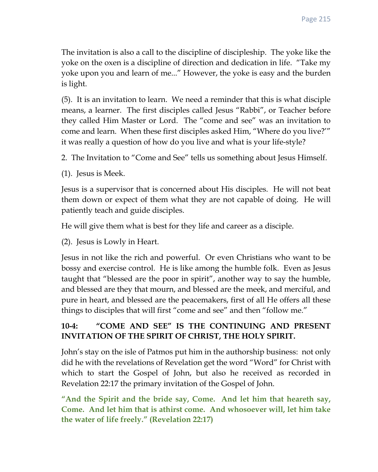The invitation is also a call to the discipline of discipleship. The yoke like the yoke on the oxen is a discipline of direction and dedication in life. "Take my yoke upon you and learn of me..." However, the yoke is easy and the burden is light.

(5). It is an invitation to learn. We need a reminder that this is what disciple means, a learner. The first disciples called Jesus "Rabbi", or Teacher before they called Him Master or Lord. The "come and see" was an invitation to come and learn. When these first disciples asked Him, "Where do you live?'" it was really a question of how do you live and what is your life-style?

2. The Invitation to "Come and See" tells us something about Jesus Himself.

(1). Jesus is Meek.

Jesus is a supervisor that is concerned about His disciples. He will not beat them down or expect of them what they are not capable of doing. He will patiently teach and guide disciples.

He will give them what is best for they life and career as a disciple.

(2). Jesus is Lowly in Heart.

Jesus in not like the rich and powerful. Or even Christians who want to be bossy and exercise control. He is like among the humble folk. Even as Jesus taught that "blessed are the poor in spirit", another way to say the humble, and blessed are they that mourn, and blessed are the meek, and merciful, and pure in heart, and blessed are the peacemakers, first of all He offers all these things to disciples that will first "come and see" and then "follow me."

# **10-4: "COME AND SEE" IS THE CONTINUING AND PRESENT INVITATION OF THE SPIRIT OF CHRIST, THE HOLY SPIRIT.**

John's stay on the isle of Patmos put him in the authorship business: not only did he with the revelations of Revelation get the word "Word" for Christ with which to start the Gospel of John, but also he received as recorded in Revelation 22:17 the primary invitation of the Gospel of John.

**"And the Spirit and the bride say, Come. And let him that heareth say, Come. And let him that is athirst come. And whosoever will, let him take the water of life freely." (Revelation 22:17)**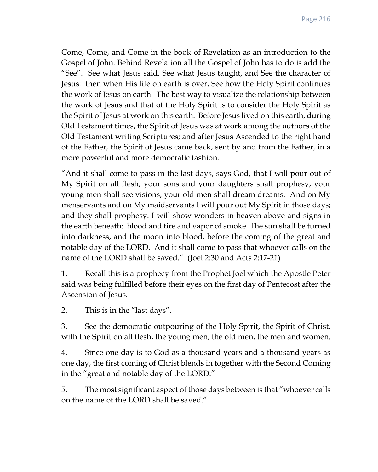Come, Come, and Come in the book of Revelation as an introduction to the Gospel of John. Behind Revelation all the Gospel of John has to do is add the "See". See what Jesus said, See what Jesus taught, and See the character of Jesus: then when His life on earth is over, See how the Holy Spirit continues the work of Jesus on earth. The best way to visualize the relationship between the work of Jesus and that of the Holy Spirit is to consider the Holy Spirit as the Spirit of Jesus at work on this earth. Before Jesus lived on this earth, during Old Testament times, the Spirit of Jesus was at work among the authors of the Old Testament writing Scriptures; and after Jesus Ascended to the right hand of the Father, the Spirit of Jesus came back, sent by and from the Father, in a more powerful and more democratic fashion.

"And it shall come to pass in the last days, says God, that I will pour out of My Spirit on all flesh; your sons and your daughters shall prophesy, your young men shall see visions, your old men shall dream dreams. And on My menservants and on My maidservants I will pour out My Spirit in those days; and they shall prophesy. I will show wonders in heaven above and signs in the earth beneath: blood and fire and vapor of smoke. The sun shall be turned into darkness, and the moon into blood, before the coming of the great and notable day of the LORD. And it shall come to pass that whoever calls on the name of the LORD shall be saved." (Joel 2:30 and Acts 2:17-21)

1. Recall this is a prophecy from the Prophet Joel which the Apostle Peter said was being fulfilled before their eyes on the first day of Pentecost after the Ascension of Jesus.

2. This is in the "last days".

3. See the democratic outpouring of the Holy Spirit, the Spirit of Christ, with the Spirit on all flesh, the young men, the old men, the men and women.

4. Since one day is to God as a thousand years and a thousand years as one day, the first coming of Christ blends in together with the Second Coming in the "great and notable day of the LORD."

5. The most significant aspect of those days between is that "whoever calls on the name of the LORD shall be saved."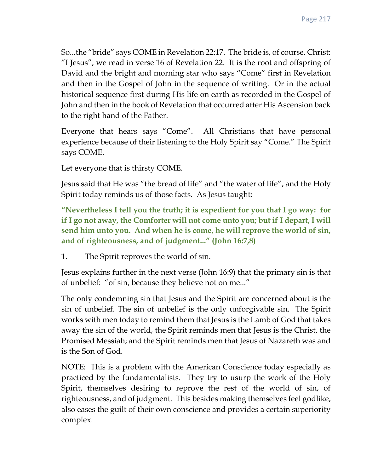So...the "bride" says COME in Revelation 22:17. The bride is, of course, Christ: "I Jesus", we read in verse 16 of Revelation 22. It is the root and offspring of David and the bright and morning star who says "Come" first in Revelation and then in the Gospel of John in the sequence of writing. Or in the actual historical sequence first during His life on earth as recorded in the Gospel of John and then in the book of Revelation that occurred after His Ascension back to the right hand of the Father.

Everyone that hears says "Come". All Christians that have personal experience because of their listening to the Holy Spirit say "Come." The Spirit says COME.

Let everyone that is thirsty COME.

Jesus said that He was "the bread of life" and "the water of life", and the Holy Spirit today reminds us of those facts. As Jesus taught:

**"Nevertheless I tell you the truth; it is expedient for you that I go way: for if I go not away, the Comforter will not come unto you; but if I depart, I will send him unto you. And when he is come, he will reprove the world of sin, and of righteousness, and of judgment..." (John 16:7,8)**

1. The Spirit reproves the world of sin.

Jesus explains further in the next verse (John 16:9) that the primary sin is that of unbelief: "of sin, because they believe not on me..."

The only condemning sin that Jesus and the Spirit are concerned about is the sin of unbelief. The sin of unbelief is the only unforgivable sin. The Spirit works with men today to remind them that Jesus is the Lamb of God that takes away the sin of the world, the Spirit reminds men that Jesus is the Christ, the Promised Messiah; and the Spirit reminds men that Jesus of Nazareth was and is the Son of God.

NOTE: This is a problem with the American Conscience today especially as practiced by the fundamentalists. They try to usurp the work of the Holy Spirit, themselves desiring to reprove the rest of the world of sin, of righteousness, and of judgment. This besides making themselves feel godlike, also eases the guilt of their own conscience and provides a certain superiority complex.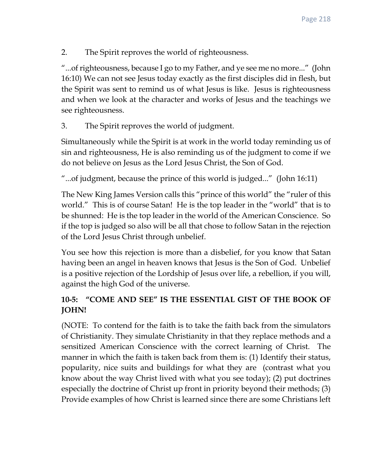2. The Spirit reproves the world of righteousness.

"...of righteousness, because I go to my Father, and ye see me no more..." (John 16:10) We can not see Jesus today exactly as the first disciples did in flesh, but the Spirit was sent to remind us of what Jesus is like. Jesus is righteousness and when we look at the character and works of Jesus and the teachings we see righteousness.

3. The Spirit reproves the world of judgment.

Simultaneously while the Spirit is at work in the world today reminding us of sin and righteousness, He is also reminding us of the judgment to come if we do not believe on Jesus as the Lord Jesus Christ, the Son of God.

"...of judgment, because the prince of this world is judged..." (John 16:11)

The New King James Version calls this "prince of this world" the "ruler of this world." This is of course Satan! He is the top leader in the "world" that is to be shunned: He is the top leader in the world of the American Conscience. So if the top is judged so also will be all that chose to follow Satan in the rejection of the Lord Jesus Christ through unbelief.

You see how this rejection is more than a disbelief, for you know that Satan having been an angel in heaven knows that Jesus is the Son of God. Unbelief is a positive rejection of the Lordship of Jesus over life, a rebellion, if you will, against the high God of the universe.

# **10-5: "COME AND SEE" IS THE ESSENTIAL GIST OF THE BOOK OF JOHN!**

(NOTE: To contend for the faith is to take the faith back from the simulators of Christianity. They simulate Christianity in that they replace methods and a sensitized American Conscience with the correct learning of Christ. The manner in which the faith is taken back from them is: (1) Identify their status, popularity, nice suits and buildings for what they are (contrast what you know about the way Christ lived with what you see today); (2) put doctrines especially the doctrine of Christ up front in priority beyond their methods; (3) Provide examples of how Christ is learned since there are some Christians left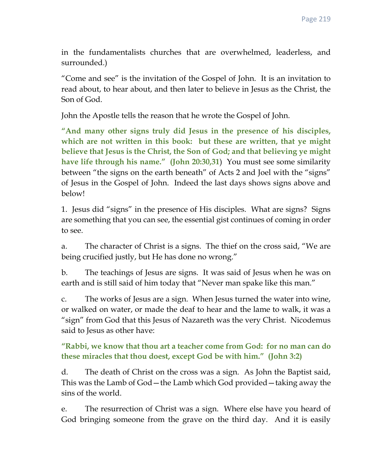in the fundamentalists churches that are overwhelmed, leaderless, and surrounded.)

"Come and see" is the invitation of the Gospel of John. It is an invitation to read about, to hear about, and then later to believe in Jesus as the Christ, the Son of God.

John the Apostle tells the reason that he wrote the Gospel of John.

**"And many other signs truly did Jesus in the presence of his disciples, which are not written in this book: but these are written, that ye might believe that Jesus is the Christ, the Son of God; and that believing ye might have life through his name." (John 20:30,31**) You must see some similarity between "the signs on the earth beneath" of Acts 2 and Joel with the "signs" of Jesus in the Gospel of John. Indeed the last days shows signs above and below!

1. Jesus did "signs" in the presence of His disciples. What are signs? Signs are something that you can see, the essential gist continues of coming in order to see.

a. The character of Christ is a signs. The thief on the cross said, "We are being crucified justly, but He has done no wrong."

b. The teachings of Jesus are signs. It was said of Jesus when he was on earth and is still said of him today that "Never man spake like this man."

c. The works of Jesus are a sign. When Jesus turned the water into wine, or walked on water, or made the deaf to hear and the lame to walk, it was a "sign" from God that this Jesus of Nazareth was the very Christ. Nicodemus said to Jesus as other have:

**"Rabbi, we know that thou art a teacher come from God: for no man can do these miracles that thou doest, except God be with him." (John 3:2)**

d. The death of Christ on the cross was a sign. As John the Baptist said, This was the Lamb of God—the Lamb which God provided—taking away the sins of the world.

e. The resurrection of Christ was a sign. Where else have you heard of God bringing someone from the grave on the third day. And it is easily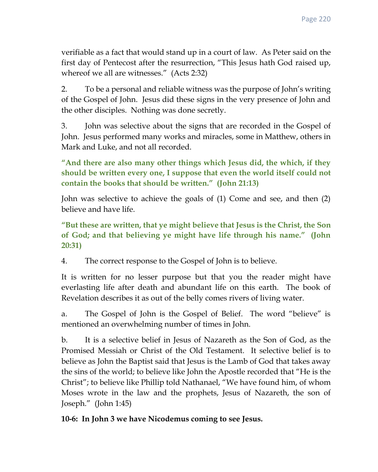verifiable as a fact that would stand up in a court of law. As Peter said on the first day of Pentecost after the resurrection, "This Jesus hath God raised up, whereof we all are witnesses." (Acts 2:32)

2. To be a personal and reliable witness was the purpose of John's writing of the Gospel of John. Jesus did these signs in the very presence of John and the other disciples. Nothing was done secretly.

3. John was selective about the signs that are recorded in the Gospel of John. Jesus performed many works and miracles, some in Matthew, others in Mark and Luke, and not all recorded.

**"And there are also many other things which Jesus did, the which, if they should be written every one, I suppose that even the world itself could not contain the books that should be written." (John 21:13)**

John was selective to achieve the goals of (1) Come and see, and then (2) believe and have life.

**"But these are written, that ye might believe that Jesus is the Christ, the Son of God; and that believing ye might have life through his name." (John 20:31)**

4. The correct response to the Gospel of John is to believe.

It is written for no lesser purpose but that you the reader might have everlasting life after death and abundant life on this earth. The book of Revelation describes it as out of the belly comes rivers of living water.

a. The Gospel of John is the Gospel of Belief. The word "believe" is mentioned an overwhelming number of times in John.

b. It is a selective belief in Jesus of Nazareth as the Son of God, as the Promised Messiah or Christ of the Old Testament. It selective belief is to believe as John the Baptist said that Jesus is the Lamb of God that takes away the sins of the world; to believe like John the Apostle recorded that "He is the Christ"; to believe like Phillip told Nathanael, "We have found him, of whom Moses wrote in the law and the prophets, Jesus of Nazareth, the son of Joseph." (John 1:45)

**10-6: In John 3 we have Nicodemus coming to see Jesus.**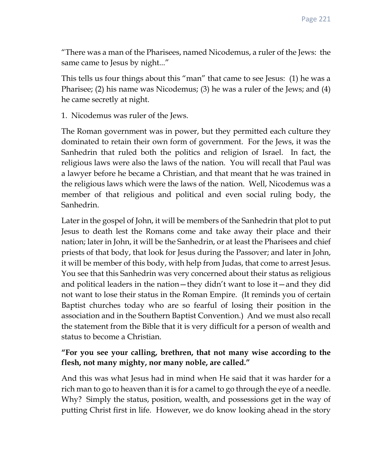"There was a man of the Pharisees, named Nicodemus, a ruler of the Jews: the same came to Jesus by night..."

This tells us four things about this "man" that came to see Jesus: (1) he was a Pharisee; (2) his name was Nicodemus; (3) he was a ruler of the Jews; and (4) he came secretly at night.

1. Nicodemus was ruler of the Jews.

The Roman government was in power, but they permitted each culture they dominated to retain their own form of government. For the Jews, it was the Sanhedrin that ruled both the politics and religion of Israel. In fact, the religious laws were also the laws of the nation. You will recall that Paul was a lawyer before he became a Christian, and that meant that he was trained in the religious laws which were the laws of the nation. Well, Nicodemus was a member of that religious and political and even social ruling body, the Sanhedrin.

Later in the gospel of John, it will be members of the Sanhedrin that plot to put Jesus to death lest the Romans come and take away their place and their nation; later in John, it will be the Sanhedrin, or at least the Pharisees and chief priests of that body, that look for Jesus during the Passover; and later in John, it will be member of this body, with help from Judas, that come to arrest Jesus. You see that this Sanhedrin was very concerned about their status as religious and political leaders in the nation—they didn't want to lose it—and they did not want to lose their status in the Roman Empire. (It reminds you of certain Baptist churches today who are so fearful of losing their position in the association and in the Southern Baptist Convention.) And we must also recall the statement from the Bible that it is very difficult for a person of wealth and status to become a Christian.

#### **"For you see your calling, brethren, that not many wise according to the flesh, not many mighty, nor many noble, are called."**

And this was what Jesus had in mind when He said that it was harder for a rich man to go to heaven than it is for a camel to go through the eye of a needle. Why? Simply the status, position, wealth, and possessions get in the way of putting Christ first in life. However, we do know looking ahead in the story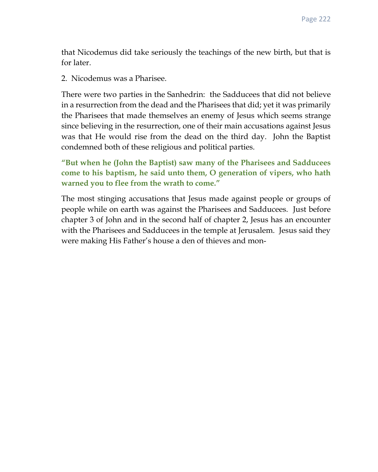that Nicodemus did take seriously the teachings of the new birth, but that is for later.

2. Nicodemus was a Pharisee.

There were two parties in the Sanhedrin: the Sadducees that did not believe in a resurrection from the dead and the Pharisees that did; yet it was primarily the Pharisees that made themselves an enemy of Jesus which seems strange since believing in the resurrection, one of their main accusations against Jesus was that He would rise from the dead on the third day. John the Baptist condemned both of these religious and political parties.

**"But when he (John the Baptist) saw many of the Pharisees and Sadducees come to his baptism, he said unto them, O generation of vipers, who hath warned you to flee from the wrath to come."**

The most stinging accusations that Jesus made against people or groups of people while on earth was against the Pharisees and Sadducees. Just before chapter 3 of John and in the second half of chapter 2, Jesus has an encounter with the Pharisees and Sadducees in the temple at Jerusalem. Jesus said they were making His Father's house a den of thieves and mon-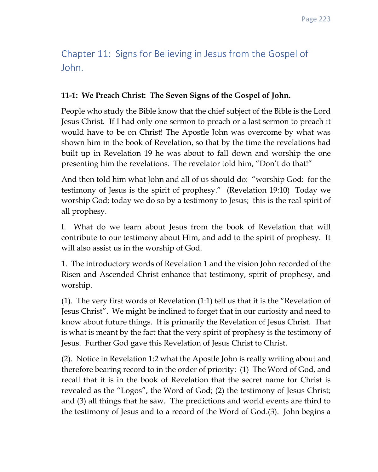# Chapter 11: Signs for Believing in Jesus from the Gospel of John.

# **11-1: We Preach Christ: The Seven Signs of the Gospel of John.**

People who study the Bible know that the chief subject of the Bible is the Lord Jesus Christ. If I had only one sermon to preach or a last sermon to preach it would have to be on Christ! The Apostle John was overcome by what was shown him in the book of Revelation, so that by the time the revelations had built up in Revelation 19 he was about to fall down and worship the one presenting him the revelations. The revelator told him, "Don't do that!"

And then told him what John and all of us should do: "worship God: for the testimony of Jesus is the spirit of prophesy." (Revelation 19:10) Today we worship God; today we do so by a testimony to Jesus; this is the real spirit of all prophesy.

I. What do we learn about Jesus from the book of Revelation that will contribute to our testimony about Him, and add to the spirit of prophesy. It will also assist us in the worship of God.

1. The introductory words of Revelation 1 and the vision John recorded of the Risen and Ascended Christ enhance that testimony, spirit of prophesy, and worship.

(1). The very first words of Revelation (1:1) tell us that it is the "Revelation of Jesus Christ". We might be inclined to forget that in our curiosity and need to know about future things. It is primarily the Revelation of Jesus Christ. That is what is meant by the fact that the very spirit of prophesy is the testimony of Jesus. Further God gave this Revelation of Jesus Christ to Christ.

(2). Notice in Revelation 1:2 what the Apostle John is really writing about and therefore bearing record to in the order of priority: (1) The Word of God, and recall that it is in the book of Revelation that the secret name for Christ is revealed as the "Logos", the Word of God; (2) the testimony of Jesus Christ; and (3) all things that he saw. The predictions and world events are third to the testimony of Jesus and to a record of the Word of God.(3). John begins a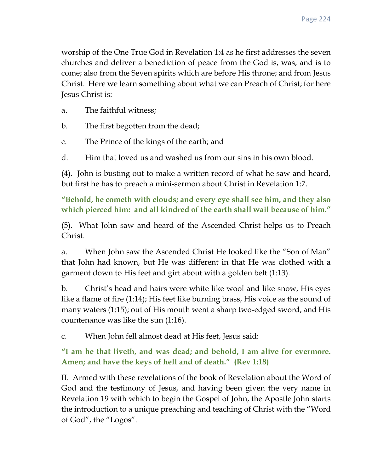worship of the One True God in Revelation 1:4 as he first addresses the seven churches and deliver a benediction of peace from the God is, was, and is to come; also from the Seven spirits which are before His throne; and from Jesus Christ. Here we learn something about what we can Preach of Christ; for here Jesus Christ is:

- a. The faithful witness;
- b. The first begotten from the dead;
- c. The Prince of the kings of the earth; and
- d. Him that loved us and washed us from our sins in his own blood.

(4). John is busting out to make a written record of what he saw and heard, but first he has to preach a mini-sermon about Christ in Revelation 1:7.

**"Behold, he cometh with clouds; and every eye shall see him, and they also which pierced him: and all kindred of the earth shall wail because of him."**

(5). What John saw and heard of the Ascended Christ helps us to Preach Christ.

a. When John saw the Ascended Christ He looked like the "Son of Man" that John had known, but He was different in that He was clothed with a garment down to His feet and girt about with a golden belt (1:13).

b. Christ's head and hairs were white like wool and like snow, His eyes like a flame of fire (1:14); His feet like burning brass, His voice as the sound of many waters (1:15); out of His mouth went a sharp two-edged sword, and His countenance was like the sun (1:16).

c. When John fell almost dead at His feet, Jesus said:

## **"I am he that liveth, and was dead; and behold, I am alive for evermore. Amen; and have the keys of hell and of death." (Rev 1:18)**

II. Armed with these revelations of the book of Revelation about the Word of God and the testimony of Jesus, and having been given the very name in Revelation 19 with which to begin the Gospel of John, the Apostle John starts the introduction to a unique preaching and teaching of Christ with the "Word of God", the "Logos".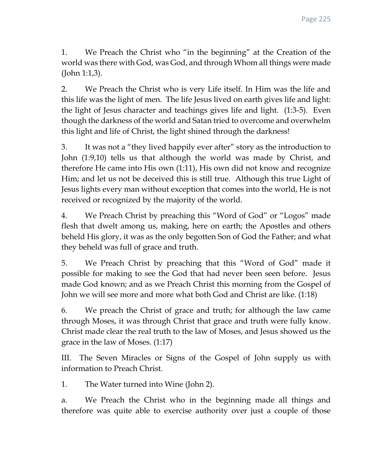1. We Preach the Christ who "in the beginning" at the Creation of the world was there with God, was God, and through Whom all things were made (John 1:1,3).

2. We Preach the Christ who is very Life itself. In Him was the life and this life was the light of men. The life Jesus lived on earth gives life and light: the light of Jesus character and teachings gives life and light. (1:3-5). Even though the darkness of the world and Satan tried to overcome and overwhelm this light and life of Christ, the light shined through the darkness!

3. It was not a "they lived happily ever after" story as the introduction to John (1:9,10) tells us that although the world was made by Christ, and therefore He came into His own (1:11), His own did not know and recognize Him; and let us not be deceived this is still true. Although this true Light of Jesus lights every man without exception that comes into the world, He is not received or recognized by the majority of the world.

4. We Preach Christ by preaching this "Word of God" or "Logos" made flesh that dwelt among us, making, here on earth; the Apostles and others beheld His glory, it was as the only begotten Son of God the Father; and what they beheld was full of grace and truth.

5. We Preach Christ by preaching that this "Word of God" made it possible for making to see the God that had never been seen before. Jesus made God known; and as we Preach Christ this morning from the Gospel of John we will see more and more what both God and Christ are like. (1:18)

6. We preach the Christ of grace and truth; for although the law came through Moses, it was through Christ that grace and truth were fully know. Christ made clear the real truth to the law of Moses, and Jesus showed us the grace in the law of Moses. (1:17)

III. The Seven Miracles or Signs of the Gospel of John supply us with information to Preach Christ.

1. The Water turned into Wine (John 2).

a. We Preach the Christ who in the beginning made all things and therefore was quite able to exercise authority over just a couple of those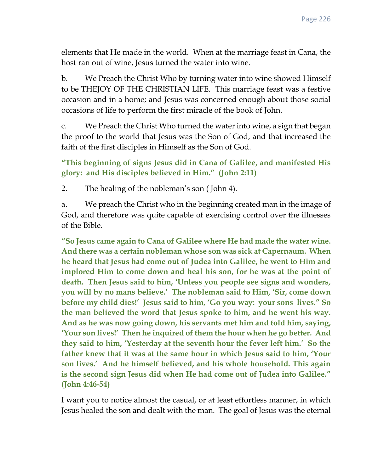elements that He made in the world. When at the marriage feast in Cana, the host ran out of wine, Jesus turned the water into wine.

b. We Preach the Christ Who by turning water into wine showed Himself to be THEJOY OF THE CHRISTIAN LIFE. This marriage feast was a festive occasion and in a home; and Jesus was concerned enough about those social occasions of life to perform the first miracle of the book of John.

c. We Preach the Christ Who turned the water into wine, a sign that began the proof to the world that Jesus was the Son of God, and that increased the faith of the first disciples in Himself as the Son of God.

**"This beginning of signs Jesus did in Cana of Galilee, and manifested His glory: and His disciples believed in Him." (John 2:11)**

2. The healing of the nobleman's son ( John 4).

a. We preach the Christ who in the beginning created man in the image of God, and therefore was quite capable of exercising control over the illnesses of the Bible.

**"So Jesus came again to Cana of Galilee where He had made the water wine. And there was a certain nobleman whose son was sick at Capernaum. When he heard that Jesus had come out of Judea into Galilee, he went to Him and implored Him to come down and heal his son, for he was at the point of death. Then Jesus said to him, 'Unless you people see signs and wonders, you will by no mans believe.' The nobleman said to Him, 'Sir, come down before my child dies!' Jesus said to him, 'Go you way: your sons lives." So the man believed the word that Jesus spoke to him, and he went his way. And as he was now going down, his servants met him and told him, saying, 'Your son lives!' Then he inquired of them the hour when he go better. And they said to him, 'Yesterday at the seventh hour the fever left him.' So the father knew that it was at the same hour in which Jesus said to him, 'Your son lives.' And he himself believed, and his whole household. This again is the second sign Jesus did when He had come out of Judea into Galilee." (John 4:46-54)**

I want you to notice almost the casual, or at least effortless manner, in which Jesus healed the son and dealt with the man. The goal of Jesus was the eternal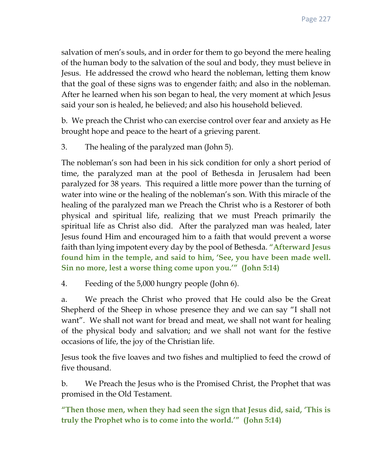salvation of men's souls, and in order for them to go beyond the mere healing of the human body to the salvation of the soul and body, they must believe in Jesus. He addressed the crowd who heard the nobleman, letting them know that the goal of these signs was to engender faith; and also in the nobleman. After he learned when his son began to heal, the very moment at which Jesus said your son is healed, he believed; and also his household believed.

b. We preach the Christ who can exercise control over fear and anxiety as He brought hope and peace to the heart of a grieving parent.

3. The healing of the paralyzed man (John 5).

The nobleman's son had been in his sick condition for only a short period of time, the paralyzed man at the pool of Bethesda in Jerusalem had been paralyzed for 38 years. This required a little more power than the turning of water into wine or the healing of the nobleman's son. With this miracle of the healing of the paralyzed man we Preach the Christ who is a Restorer of both physical and spiritual life, realizing that we must Preach primarily the spiritual life as Christ also did. After the paralyzed man was healed, later Jesus found Him and encouraged him to a faith that would prevent a worse faith than lying impotent every day by the pool of Bethesda. **"Afterward Jesus found him in the temple, and said to him, 'See, you have been made well. Sin no more, lest a worse thing come upon you.'" (John 5:14)**

4. Feeding of the 5,000 hungry people (John 6).

a. We preach the Christ who proved that He could also be the Great Shepherd of the Sheep in whose presence they and we can say "I shall not want". We shall not want for bread and meat, we shall not want for healing of the physical body and salvation; and we shall not want for the festive occasions of life, the joy of the Christian life.

Jesus took the five loaves and two fishes and multiplied to feed the crowd of five thousand.

b. We Preach the Jesus who is the Promised Christ, the Prophet that was promised in the Old Testament.

**"Then those men, when they had seen the sign that Jesus did, said, 'This is truly the Prophet who is to come into the world.'" (John 5:14)**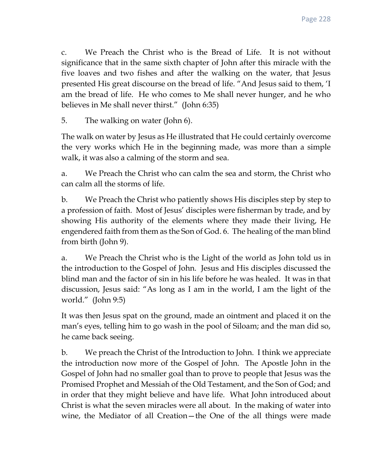c. We Preach the Christ who is the Bread of Life. It is not without significance that in the same sixth chapter of John after this miracle with the five loaves and two fishes and after the walking on the water, that Jesus presented His great discourse on the bread of life. "And Jesus said to them, 'I am the bread of life. He who comes to Me shall never hunger, and he who believes in Me shall never thirst." (John 6:35)

5. The walking on water (John 6).

The walk on water by Jesus as He illustrated that He could certainly overcome the very works which He in the beginning made, was more than a simple walk, it was also a calming of the storm and sea.

a. We Preach the Christ who can calm the sea and storm, the Christ who can calm all the storms of life.

b. We Preach the Christ who patiently shows His disciples step by step to a profession of faith. Most of Jesus' disciples were fisherman by trade, and by showing His authority of the elements where they made their living, He engendered faith from them as the Son of God. 6. The healing of the man blind from birth (John 9).

a. We Preach the Christ who is the Light of the world as John told us in the introduction to the Gospel of John. Jesus and His disciples discussed the blind man and the factor of sin in his life before he was healed. It was in that discussion, Jesus said: "As long as I am in the world, I am the light of the world." (John 9:5)

It was then Jesus spat on the ground, made an ointment and placed it on the man's eyes, telling him to go wash in the pool of Siloam; and the man did so, he came back seeing.

b. We preach the Christ of the Introduction to John. I think we appreciate the introduction now more of the Gospel of John. The Apostle John in the Gospel of John had no smaller goal than to prove to people that Jesus was the Promised Prophet and Messiah of the Old Testament, and the Son of God; and in order that they might believe and have life. What John introduced about Christ is what the seven miracles were all about. In the making of water into wine, the Mediator of all Creation—the One of the all things were made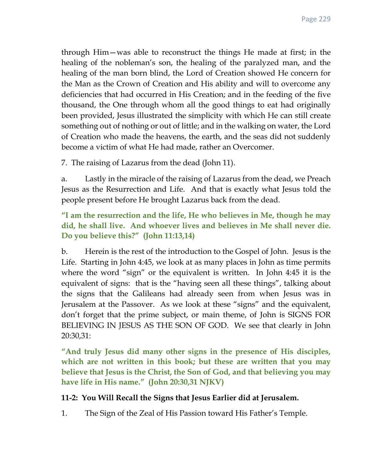through Him—was able to reconstruct the things He made at first; in the healing of the nobleman's son, the healing of the paralyzed man, and the healing of the man born blind, the Lord of Creation showed He concern for the Man as the Crown of Creation and His ability and will to overcome any deficiencies that had occurred in His Creation; and in the feeding of the five thousand, the One through whom all the good things to eat had originally been provided, Jesus illustrated the simplicity with which He can still create something out of nothing or out of little; and in the walking on water, the Lord of Creation who made the heavens, the earth, and the seas did not suddenly become a victim of what He had made, rather an Overcomer.

7. The raising of Lazarus from the dead (John 11).

a. Lastly in the miracle of the raising of Lazarus from the dead, we Preach Jesus as the Resurrection and Life. And that is exactly what Jesus told the people present before He brought Lazarus back from the dead.

**"I am the resurrection and the life, He who believes in Me, though he may did, he shall live. And whoever lives and believes in Me shall never die. Do you believe this?" (John 11:13,14)**

b. Herein is the rest of the introduction to the Gospel of John. Jesus is the Life. Starting in John 4:45, we look at as many places in John as time permits where the word "sign" or the equivalent is written. In John 4:45 it is the equivalent of signs: that is the "having seen all these things", talking about the signs that the Galileans had already seen from when Jesus was in Jerusalem at the Passover. As we look at these "signs" and the equivalent, don't forget that the prime subject, or main theme, of John is SIGNS FOR BELIEVING IN JESUS AS THE SON OF GOD. We see that clearly in John 20:30,31:

**"And truly Jesus did many other signs in the presence of His disciples, which are not written in this book; but these are written that you may believe that Jesus is the Christ, the Son of God, and that believing you may have life in His name." (John 20:30,31 NJKV)**

## **11-2: You Will Recall the Signs that Jesus Earlier did at Jerusalem.**

1. The Sign of the Zeal of His Passion toward His Father's Temple.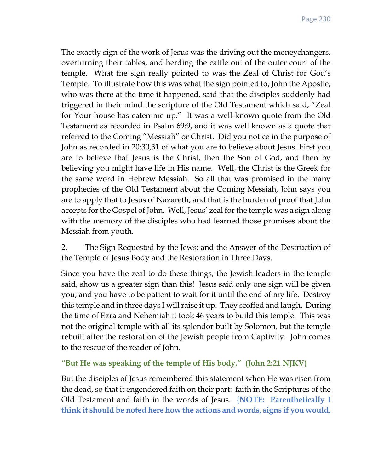The exactly sign of the work of Jesus was the driving out the moneychangers, overturning their tables, and herding the cattle out of the outer court of the temple. What the sign really pointed to was the Zeal of Christ for God's Temple. To illustrate how this was what the sign pointed to, John the Apostle, who was there at the time it happened, said that the disciples suddenly had triggered in their mind the scripture of the Old Testament which said, "Zeal for Your house has eaten me up." It was a well-known quote from the Old Testament as recorded in Psalm 69:9, and it was well known as a quote that referred to the Coming "Messiah" or Christ. Did you notice in the purpose of John as recorded in 20:30,31 of what you are to believe about Jesus. First you are to believe that Jesus is the Christ, then the Son of God, and then by believing you might have life in His name. Well, the Christ is the Greek for the same word in Hebrew Messiah. So all that was promised in the many prophecies of the Old Testament about the Coming Messiah, John says you are to apply that to Jesus of Nazareth; and that is the burden of proof that John accepts for the Gospel of John. Well, Jesus' zeal for the temple was a sign along with the memory of the disciples who had learned those promises about the Messiah from youth.

2. The Sign Requested by the Jews: and the Answer of the Destruction of the Temple of Jesus Body and the Restoration in Three Days.

Since you have the zeal to do these things, the Jewish leaders in the temple said, show us a greater sign than this! Jesus said only one sign will be given you; and you have to be patient to wait for it until the end of my life. Destroy this temple and in three days I will raise it up. They scoffed and laugh. During the time of Ezra and Nehemiah it took 46 years to build this temple. This was not the original temple with all its splendor built by Solomon, but the temple rebuilt after the restoration of the Jewish people from Captivity. John comes to the rescue of the reader of John.

#### **"But He was speaking of the temple of His body." (John 2:21 NJKV)**

But the disciples of Jesus remembered this statement when He was risen from the dead, so that it engendered faith on their part: faith in the Scriptures of the Old Testament and faith in the words of Jesus. **{NOTE: Parenthetically I think it should be noted here how the actions and words, signs if you would,**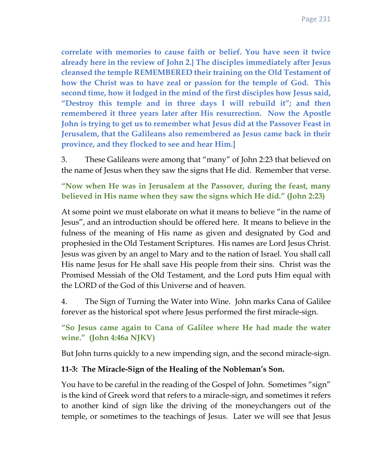**correlate with memories to cause faith or belief. You have seen it twice already here in the review of John 2.} The disciples immediately after Jesus cleansed the temple REMEMBERED their training on the Old Testament of how the Christ was to have zeal or passion for the temple of God. This second time, how it lodged in the mind of the first disciples how Jesus said, "Destroy this temple and in three days I will rebuild it"; and then remembered it three years later after His resurrection. Now the Apostle John is trying to get us to remember what Jesus did at the Passover Feast in Jerusalem, that the Galileans also remembered as Jesus came back in their province, and they flocked to see and hear Him.]**

3. These Galileans were among that "many" of John 2:23 that believed on the name of Jesus when they saw the signs that He did. Remember that verse.

**"Now when He was in Jerusalem at the Passover, during the feast, many believed in His name when they saw the signs which He did." (John 2:23)**

At some point we must elaborate on what it means to believe "in the name of Jesus", and an introduction should be offered here. It means to believe in the fulness of the meaning of His name as given and designated by God and prophesied in the Old Testament Scriptures. His names are Lord Jesus Christ. Jesus was given by an angel to Mary and to the nation of Israel. You shall call His name Jesus for He shall save His people from their sins. Christ was the Promised Messiah of the Old Testament, and the Lord puts Him equal with the LORD of the God of this Universe and of heaven.

4. The Sign of Turning the Water into Wine. John marks Cana of Galilee forever as the historical spot where Jesus performed the first miracle-sign.

**"So Jesus came again to Cana of Galilee where He had made the water wine." (John 4:46a NJKV)**

But John turns quickly to a new impending sign, and the second miracle-sign.

## **11-3: The Miracle-Sign of the Healing of the Nobleman's Son.**

You have to be careful in the reading of the Gospel of John. Sometimes "sign" is the kind of Greek word that refers to a miracle-sign, and sometimes it refers to another kind of sign like the driving of the moneychangers out of the temple, or sometimes to the teachings of Jesus. Later we will see that Jesus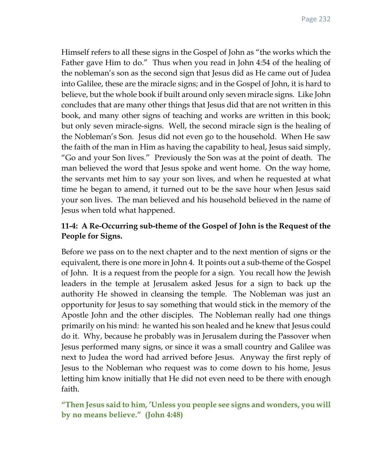Himself refers to all these signs in the Gospel of John as "the works which the Father gave Him to do." Thus when you read in John 4:54 of the healing of the nobleman's son as the second sign that Jesus did as He came out of Judea into Galilee, these are the miracle signs; and in the Gospel of John, it is hard to believe, but the whole book if built around only seven miracle signs. Like John concludes that are many other things that Jesus did that are not written in this book, and many other signs of teaching and works are written in this book; but only seven miracle-signs. Well, the second miracle sign is the healing of the Nobleman's Son. Jesus did not even go to the household. When He saw the faith of the man in Him as having the capability to heal, Jesus said simply, "Go and your Son lives." Previously the Son was at the point of death. The man believed the word that Jesus spoke and went home. On the way home, the servants met him to say your son lives, and when he requested at what time he began to amend, it turned out to be the save hour when Jesus said your son lives. The man believed and his household believed in the name of Jesus when told what happened.

# **11-4: A Re-Occurring sub-theme of the Gospel of John is the Request of the People for Signs.**

Before we pass on to the next chapter and to the next mention of signs or the equivalent, there is one more in John 4. It points out a sub-theme of the Gospel of John. It is a request from the people for a sign. You recall how the Jewish leaders in the temple at Jerusalem asked Jesus for a sign to back up the authority He showed in cleansing the temple. The Nobleman was just an opportunity for Jesus to say something that would stick in the memory of the Apostle John and the other disciples. The Nobleman really had one things primarily on his mind: he wanted his son healed and he knew that Jesus could do it. Why, because he probably was in Jerusalem during the Passover when Jesus performed many signs, or since it was a small country and Galilee was next to Judea the word had arrived before Jesus. Anyway the first reply of Jesus to the Nobleman who request was to come down to his home, Jesus letting him know initially that He did not even need to be there with enough faith.

**"Then Jesus said to him, 'Unless you people see signs and wonders, you will by no means believe." (John 4:48)**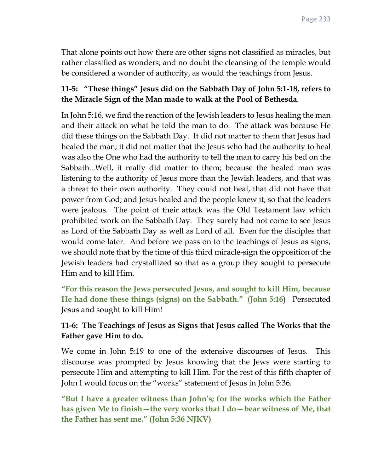That alone points out how there are other signs not classified as miracles, but rather classified as wonders; and no doubt the cleansing of the temple would be considered a wonder of authority, as would the teachings from Jesus.

## **11-5: "These things" Jesus did on the Sabbath Day of John 5:1-18, refers to the Miracle Sign of the Man made to walk at the Pool of Bethesda**.

In John 5:16, we find the reaction of the Jewish leaders to Jesus healing the man and their attack on what he told the man to do. The attack was because He did these things on the Sabbath Day. It did not matter to them that Jesus had healed the man; it did not matter that the Jesus who had the authority to heal was also the One who had the authority to tell the man to carry his bed on the Sabbath...Well, it really did matter to them; because the healed man was listening to the authority of Jesus more than the Jewish leaders, and that was a threat to their own authority. They could not heal, that did not have that power from God; and Jesus healed and the people knew it, so that the leaders were jealous. The point of their attack was the Old Testament law which prohibited work on the Sabbath Day. They surely had not come to see Jesus as Lord of the Sabbath Day as well as Lord of all. Even for the disciples that would come later. And before we pass on to the teachings of Jesus as signs, we should note that by the time of this third miracle-sign the opposition of the Jewish leaders had crystallized so that as a group they sought to persecute Him and to kill Him.

**"For this reason the Jews persecuted Jesus, and sought to kill Him, because He had done these things (signs) on the Sabbath." (John 5:16**) Persecuted Jesus and sought to kill Him!

## **11-6: The Teachings of Jesus as Signs that Jesus called The Works that the Father gave Him to do.**

We come in John 5:19 to one of the extensive discourses of Jesus. This discourse was prompted by Jesus knowing that the Jews were starting to persecute Him and attempting to kill Him. For the rest of this fifth chapter of John I would focus on the "works" statement of Jesus in John 5:36.

**"But I have a greater witness than John's; for the works which the Father has given Me to finish—the very works that I do—bear witness of Me, that the Father has sent me." (John 5:36 NJKV)**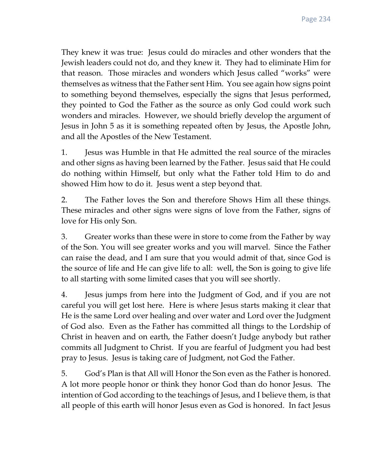They knew it was true: Jesus could do miracles and other wonders that the Jewish leaders could not do, and they knew it. They had to eliminate Him for that reason. Those miracles and wonders which Jesus called "works" were themselves as witness that the Father sent Him. You see again how signs point to something beyond themselves, especially the signs that Jesus performed, they pointed to God the Father as the source as only God could work such wonders and miracles. However, we should briefly develop the argument of Jesus in John 5 as it is something repeated often by Jesus, the Apostle John, and all the Apostles of the New Testament.

1. Jesus was Humble in that He admitted the real source of the miracles and other signs as having been learned by the Father. Jesus said that He could do nothing within Himself, but only what the Father told Him to do and showed Him how to do it. Jesus went a step beyond that.

2. The Father loves the Son and therefore Shows Him all these things. These miracles and other signs were signs of love from the Father, signs of love for His only Son.

3. Greater works than these were in store to come from the Father by way of the Son. You will see greater works and you will marvel. Since the Father can raise the dead, and I am sure that you would admit of that, since God is the source of life and He can give life to all: well, the Son is going to give life to all starting with some limited cases that you will see shortly.

4. Jesus jumps from here into the Judgment of God, and if you are not careful you will get lost here. Here is where Jesus starts making it clear that He is the same Lord over healing and over water and Lord over the Judgment of God also. Even as the Father has committed all things to the Lordship of Christ in heaven and on earth, the Father doesn't Judge anybody but rather commits all Judgment to Christ. If you are fearful of Judgment you had best pray to Jesus. Jesus is taking care of Judgment, not God the Father.

5. God's Plan is that All will Honor the Son even as the Father is honored. A lot more people honor or think they honor God than do honor Jesus. The intention of God according to the teachings of Jesus, and I believe them, is that all people of this earth will honor Jesus even as God is honored. In fact Jesus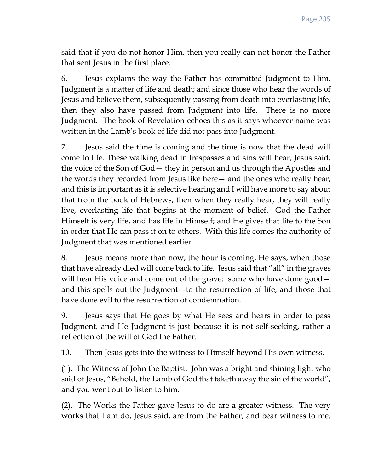said that if you do not honor Him, then you really can not honor the Father that sent Jesus in the first place.

6. Jesus explains the way the Father has committed Judgment to Him. Judgment is a matter of life and death; and since those who hear the words of Jesus and believe them, subsequently passing from death into everlasting life, then they also have passed from Judgment into life. There is no more Judgment. The book of Revelation echoes this as it says whoever name was written in the Lamb's book of life did not pass into Judgment.

7. Jesus said the time is coming and the time is now that the dead will come to life. These walking dead in trespasses and sins will hear, Jesus said, the voice of the Son of God— they in person and us through the Apostles and the words they recorded from Jesus like here— and the ones who really hear, and this is important as it is selective hearing and I will have more to say about that from the book of Hebrews, then when they really hear, they will really live, everlasting life that begins at the moment of belief. God the Father Himself is very life, and has life in Himself; and He gives that life to the Son in order that He can pass it on to others. With this life comes the authority of Judgment that was mentioned earlier.

8. Jesus means more than now, the hour is coming, He says, when those that have already died will come back to life. Jesus said that "all" in the graves will hear His voice and come out of the grave: some who have done good – and this spells out the Judgment—to the resurrection of life, and those that have done evil to the resurrection of condemnation.

9. Jesus says that He goes by what He sees and hears in order to pass Judgment, and He Judgment is just because it is not self-seeking, rather a reflection of the will of God the Father.

10. Then Jesus gets into the witness to Himself beyond His own witness.

(1). The Witness of John the Baptist. John was a bright and shining light who said of Jesus, "Behold, the Lamb of God that taketh away the sin of the world", and you went out to listen to him.

(2). The Works the Father gave Jesus to do are a greater witness. The very works that I am do, Jesus said, are from the Father; and bear witness to me.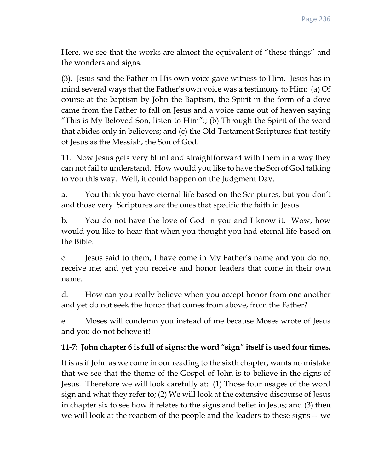Here, we see that the works are almost the equivalent of "these things" and the wonders and signs.

(3). Jesus said the Father in His own voice gave witness to Him. Jesus has in mind several ways that the Father's own voice was a testimony to Him: (a) Of course at the baptism by John the Baptism, the Spirit in the form of a dove came from the Father to fall on Jesus and a voice came out of heaven saying "This is My Beloved Son, listen to Him":; (b) Through the Spirit of the word that abides only in believers; and (c) the Old Testament Scriptures that testify of Jesus as the Messiah, the Son of God.

11. Now Jesus gets very blunt and straightforward with them in a way they can not fail to understand. How would you like to have the Son of God talking to you this way. Well, it could happen on the Judgment Day.

a. You think you have eternal life based on the Scriptures, but you don't and those very Scriptures are the ones that specific the faith in Jesus.

b. You do not have the love of God in you and I know it. Wow, how would you like to hear that when you thought you had eternal life based on the Bible.

c. Jesus said to them, I have come in My Father's name and you do not receive me; and yet you receive and honor leaders that come in their own name.

d. How can you really believe when you accept honor from one another and yet do not seek the honor that comes from above, from the Father?

e. Moses will condemn you instead of me because Moses wrote of Jesus and you do not believe it!

## **11-7: John chapter 6 is full of signs: the word "sign" itself is used four times.**

It is as if John as we come in our reading to the sixth chapter, wants no mistake that we see that the theme of the Gospel of John is to believe in the signs of Jesus. Therefore we will look carefully at: (1) Those four usages of the word sign and what they refer to; (2) We will look at the extensive discourse of Jesus in chapter six to see how it relates to the signs and belief in Jesus; and (3) then we will look at the reaction of the people and the leaders to these signs— we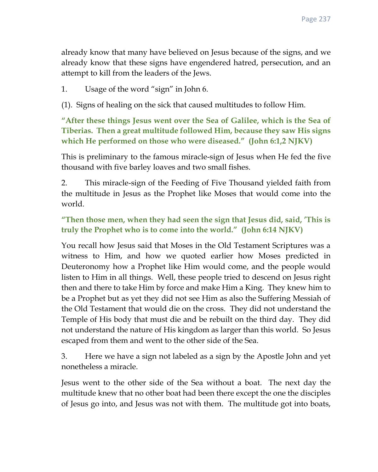already know that many have believed on Jesus because of the signs, and we already know that these signs have engendered hatred, persecution, and an attempt to kill from the leaders of the Jews.

1. Usage of the word "sign" in John 6.

(1). Signs of healing on the sick that caused multitudes to follow Him.

**"After these things Jesus went over the Sea of Galilee, which is the Sea of Tiberias. Then a great multitude followed Him, because they saw His signs which He performed on those who were diseased." (John 6:1,2 NJKV)**

This is preliminary to the famous miracle-sign of Jesus when He fed the five thousand with five barley loaves and two small fishes.

2. This miracle-sign of the Feeding of Five Thousand yielded faith from the multitude in Jesus as the Prophet like Moses that would come into the world.

## **"Then those men, when they had seen the sign that Jesus did, said, 'This is truly the Prophet who is to come into the world." (John 6:14 NJKV)**

You recall how Jesus said that Moses in the Old Testament Scriptures was a witness to Him, and how we quoted earlier how Moses predicted in Deuteronomy how a Prophet like Him would come, and the people would listen to Him in all things. Well, these people tried to descend on Jesus right then and there to take Him by force and make Him a King. They knew him to be a Prophet but as yet they did not see Him as also the Suffering Messiah of the Old Testament that would die on the cross. They did not understand the Temple of His body that must die and be rebuilt on the third day. They did not understand the nature of His kingdom as larger than this world. So Jesus escaped from them and went to the other side of the Sea.

3. Here we have a sign not labeled as a sign by the Apostle John and yet nonetheless a miracle.

Jesus went to the other side of the Sea without a boat. The next day the multitude knew that no other boat had been there except the one the disciples of Jesus go into, and Jesus was not with them. The multitude got into boats,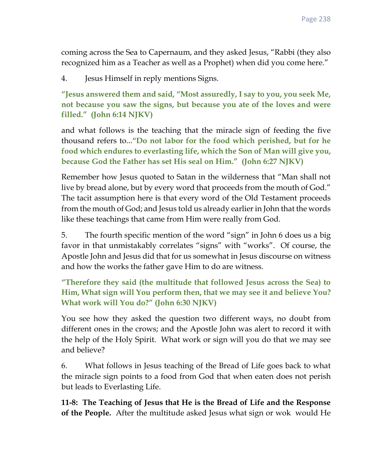coming across the Sea to Capernaum, and they asked Jesus, "Rabbi (they also recognized him as a Teacher as well as a Prophet) when did you come here."

4. Jesus Himself in reply mentions Signs.

**"Jesus answered them and said, "Most assuredly, I say to you, you seek Me, not because you saw the signs, but because you ate of the loves and were filled." (John 6:14 NJKV)**

and what follows is the teaching that the miracle sign of feeding the five thousand refers to**..."Do not labor for the food which perished, but for he food which endures to everlasting life, which the Son of Man will give you, because God the Father has set His seal on Him." (John 6:27 NJKV)**

Remember how Jesus quoted to Satan in the wilderness that "Man shall not live by bread alone, but by every word that proceeds from the mouth of God." The tacit assumption here is that every word of the Old Testament proceeds from the mouth of God; and Jesus told us already earlier in John that the words like these teachings that came from Him were really from God.

5. The fourth specific mention of the word "sign" in John 6 does us a big favor in that unmistakably correlates "signs" with "works". Of course, the Apostle John and Jesus did that for us somewhat in Jesus discourse on witness and how the works the father gave Him to do are witness.

**"Therefore they said (the multitude that followed Jesus across the Sea) to Him, What sign will You perform then, that we may see it and believe You? What work will You do?" (John 6:30 NJKV)**

You see how they asked the question two different ways, no doubt from different ones in the crows; and the Apostle John was alert to record it with the help of the Holy Spirit. What work or sign will you do that we may see and believe?

6. What follows in Jesus teaching of the Bread of Life goes back to what the miracle sign points to a food from God that when eaten does not perish but leads to Everlasting Life.

**11-8: The Teaching of Jesus that He is the Bread of Life and the Response of the People.** After the multitude asked Jesus what sign or wok would He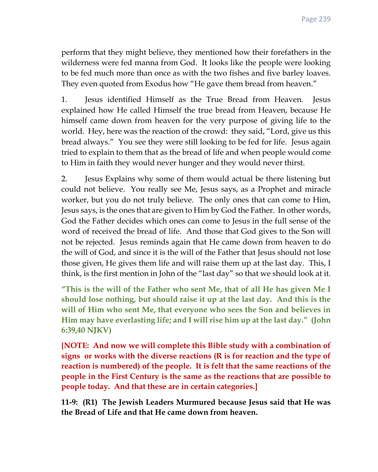perform that they might believe, they mentioned how their forefathers in the wilderness were fed manna from God. It looks like the people were looking to be fed much more than once as with the two fishes and five barley loaves. They even quoted from Exodus how "He gave them bread from heaven."

1. Jesus identified Himself as the True Bread from Heaven. Jesus explained how He called Himself the true bread from Heaven, because He himself came down from heaven for the very purpose of giving life to the world. Hey, here was the reaction of the crowd: they said, "Lord, give us this bread always." You see they were still looking to be fed for life. Jesus again tried to explain to them that as the bread of life and when people would come to Him in faith they would never hunger and they would never thirst.

2. Jesus Explains why some of them would actual be there listening but could not believe. You really see Me, Jesus says, as a Prophet and miracle worker, but you do not truly believe. The only ones that can come to Him, Jesus says, is the ones that are given to Him by God the Father. In other words, God the Father decides which ones can come to Jesus in the full sense of the word of received the bread of life. And those that God gives to the Son will not be rejected. Jesus reminds again that He came down from heaven to do the will of God, and since it is the will of the Father that Jesus should not lose those given, He gives them life and will raise them up at the last day. This, I think, is the first mention in John of the "last day" so that we should look at it.

**"This is the will of the Father who sent Me, that of all He has given Me I should lose nothing, but should raise it up at the last day. And this is the will of Him who sent Me, that everyone who sees the Son and believes in Him may have everlasting life; and I will rise him up at the last day." (John 6:39,40 NJKV)**

**{NOTE: And now we will complete this Bible study with a combination of signs or works with the diverse reactions (R is for reaction and the type of reaction is numbered) of the people. It is felt that the same reactions of the people in the First Century is the same as the reactions that are possible to people today. And that these are in certain categories.]**

**11-9: (R1) The Jewish Leaders Murmured because Jesus said that He was the Bread of Life and that He came down from heaven.**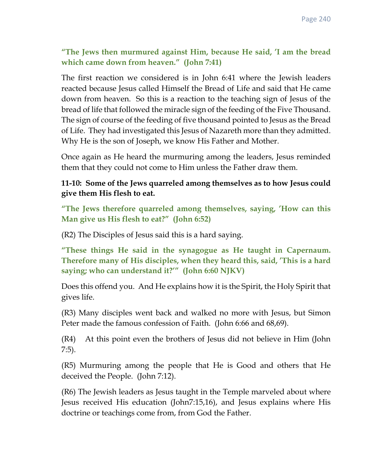**"The Jews then murmured against Him, because He said, 'I am the bread which came down from heaven." (John 7:41)**

The first reaction we considered is in John 6:41 where the Jewish leaders reacted because Jesus called Himself the Bread of Life and said that He came down from heaven. So this is a reaction to the teaching sign of Jesus of the bread of life that followed the miracle sign of the feeding of the Five Thousand. The sign of course of the feeding of five thousand pointed to Jesus as the Bread of Life. They had investigated this Jesus of Nazareth more than they admitted. Why He is the son of Joseph, we know His Father and Mother.

Once again as He heard the murmuring among the leaders, Jesus reminded them that they could not come to Him unless the Father draw them.

**11-10: Some of the Jews quarreled among themselves as to how Jesus could give them His flesh to eat.**

**"The Jews therefore quarreled among themselves, saying, 'How can this Man give us His flesh to eat?" (John 6:52)**

(R2) The Disciples of Jesus said this is a hard saying.

**"These things He said in the synagogue as He taught in Capernaum. Therefore many of His disciples, when they heard this, said, 'This is a hard saying; who can understand it?'" (John 6:60 NJKV)**

Does this offend you. And He explains how it is the Spirit, the Holy Spirit that gives life.

(R3) Many disciples went back and walked no more with Jesus, but Simon Peter made the famous confession of Faith. (John 6:66 and 68,69).

(R4) At this point even the brothers of Jesus did not believe in Him (John 7:5).

(R5) Murmuring among the people that He is Good and others that He deceived the People. (John 7:12).

(R6) The Jewish leaders as Jesus taught in the Temple marveled about where Jesus received His education (John7:15,16), and Jesus explains where His doctrine or teachings come from, from God the Father.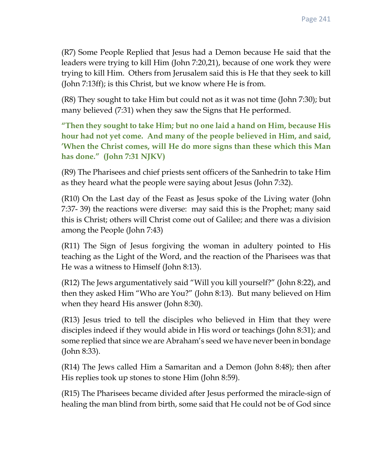(R7) Some People Replied that Jesus had a Demon because He said that the leaders were trying to kill Him (John 7:20,21), because of one work they were trying to kill Him. Others from Jerusalem said this is He that they seek to kill (John 7:13ff); is this Christ, but we know where He is from.

(R8) They sought to take Him but could not as it was not time (John 7:30); but many believed (7:31) when they saw the Signs that He performed.

**"Then they sought to take Him; but no one laid a hand on Him, because His hour had not yet come. And many of the people believed in Him, and said, 'When the Christ comes, will He do more signs than these which this Man has done." (John 7:31 NJKV)**

(R9) The Pharisees and chief priests sent officers of the Sanhedrin to take Him as they heard what the people were saying about Jesus (John 7:32).

(R10) On the Last day of the Feast as Jesus spoke of the Living water (John 7:37- 39) the reactions were diverse: may said this is the Prophet; many said this is Christ; others will Christ come out of Galilee; and there was a division among the People (John 7:43)

(R11) The Sign of Jesus forgiving the woman in adultery pointed to His teaching as the Light of the Word, and the reaction of the Pharisees was that He was a witness to Himself (John 8:13).

(R12) The Jews argumentatively said "Will you kill yourself?" (John 8:22), and then they asked Him "Who are You?" (John 8:13). But many believed on Him when they heard His answer (John 8:30).

(R13) Jesus tried to tell the disciples who believed in Him that they were disciples indeed if they would abide in His word or teachings (John 8:31); and some replied that since we are Abraham's seed we have never been in bondage (John 8:33).

(R14) The Jews called Him a Samaritan and a Demon (John 8:48); then after His replies took up stones to stone Him (John 8:59).

(R15) The Pharisees became divided after Jesus performed the miracle-sign of healing the man blind from birth, some said that He could not be of God since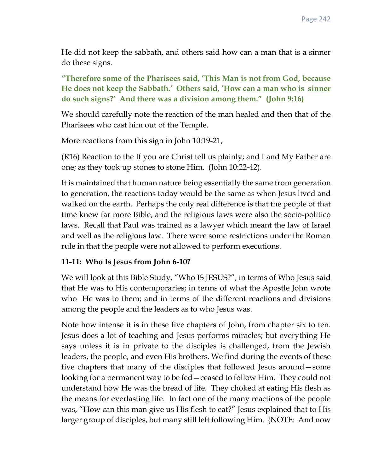He did not keep the sabbath, and others said how can a man that is a sinner do these signs.

**"Therefore some of the Pharisees said, 'This Man is not from God, because He does not keep the Sabbath.' Others said, 'How can a man who is sinner do such signs?' And there was a division among them." (John 9:16)**

We should carefully note the reaction of the man healed and then that of the Pharisees who cast him out of the Temple.

More reactions from this sign in John 10:19-21,

(R16) Reaction to the If you are Christ tell us plainly; and I and My Father are one; as they took up stones to stone Him. (John 10:22-42).

It is maintained that human nature being essentially the same from generation to generation, the reactions today would be the same as when Jesus lived and walked on the earth. Perhaps the only real difference is that the people of that time knew far more Bible, and the religious laws were also the socio-politico laws. Recall that Paul was trained as a lawyer which meant the law of Israel and well as the religious law. There were some restrictions under the Roman rule in that the people were not allowed to perform executions.

#### **11-11: Who Is Jesus from John 6-10?**

We will look at this Bible Study, "Who IS JESUS?", in terms of Who Jesus said that He was to His contemporaries; in terms of what the Apostle John wrote who He was to them; and in terms of the different reactions and divisions among the people and the leaders as to who Jesus was.

Note how intense it is in these five chapters of John, from chapter six to ten. Jesus does a lot of teaching and Jesus performs miracles; but everything He says unless it is in private to the disciples is challenged, from the Jewish leaders, the people, and even His brothers. We find during the events of these five chapters that many of the disciples that followed Jesus around—some looking for a permanent way to be fed—ceased to follow Him. They could not understand how He was the bread of life. They choked at eating His flesh as the means for everlasting life. In fact one of the many reactions of the people was, "How can this man give us His flesh to eat?" Jesus explained that to His larger group of disciples, but many still left following Him. {NOTE: And now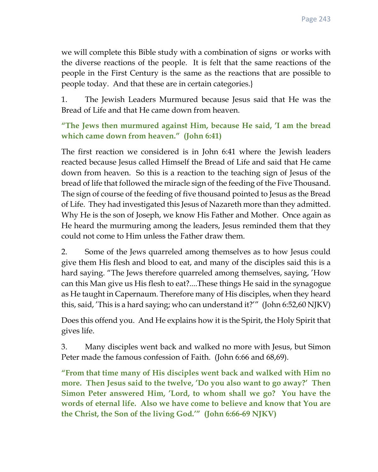we will complete this Bible study with a combination of signs or works with the diverse reactions of the people. It is felt that the same reactions of the people in the First Century is the same as the reactions that are possible to people today. And that these are in certain categories.}

1. The Jewish Leaders Murmured because Jesus said that He was the Bread of Life and that He came down from heaven.

# **"The Jews then murmured against Him, because He said, 'I am the bread which came down from heaven." (John 6:41)**

The first reaction we considered is in John 6:41 where the Jewish leaders reacted because Jesus called Himself the Bread of Life and said that He came down from heaven. So this is a reaction to the teaching sign of Jesus of the bread of life that followed the miracle sign of the feeding of the Five Thousand. The sign of course of the feeding of five thousand pointed to Jesus as the Bread of Life. They had investigated this Jesus of Nazareth more than they admitted. Why He is the son of Joseph, we know His Father and Mother. Once again as He heard the murmuring among the leaders, Jesus reminded them that they could not come to Him unless the Father draw them.

2. Some of the Jews quarreled among themselves as to how Jesus could give them His flesh and blood to eat, and many of the disciples said this is a hard saying. "The Jews therefore quarreled among themselves, saying, 'How can this Man give us His flesh to eat?....These things He said in the synagogue as He taught in Capernaum. Therefore many of His disciples, when they heard this, said, 'This is a hard saying; who can understand it?'" (John 6:52,60 NJKV)

Does this offend you. And He explains how it is the Spirit, the Holy Spirit that gives life.

3. Many disciples went back and walked no more with Jesus, but Simon Peter made the famous confession of Faith. (John 6:66 and 68,69).

**"From that time many of His disciples went back and walked with Him no more. Then Jesus said to the twelve, 'Do you also want to go away?' Then Simon Peter answered Him, 'Lord, to whom shall we go? You have the words of eternal life. Also we have come to believe and know that You are the Christ, the Son of the living God.'" (John 6:66-69 NJKV)**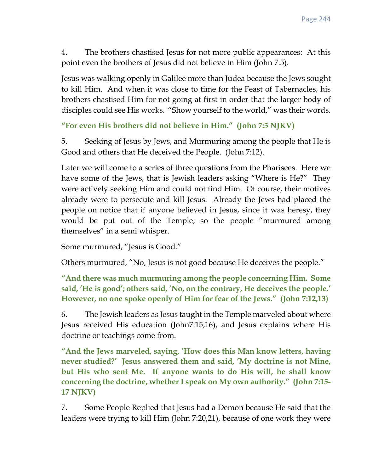4. The brothers chastised Jesus for not more public appearances: At this point even the brothers of Jesus did not believe in Him (John 7:5).

Jesus was walking openly in Galilee more than Judea because the Jews sought to kill Him. And when it was close to time for the Feast of Tabernacles, his brothers chastised Him for not going at first in order that the larger body of disciples could see His works. "Show yourself to the world," was their words.

**"For even His brothers did not believe in Him." (John 7:5 NJKV)**

5. Seeking of Jesus by Jews, and Murmuring among the people that He is Good and others that He deceived the People. (John 7:12).

Later we will come to a series of three questions from the Pharisees. Here we have some of the Jews, that is Jewish leaders asking "Where is He?" They were actively seeking Him and could not find Him. Of course, their motives already were to persecute and kill Jesus. Already the Jews had placed the people on notice that if anyone believed in Jesus, since it was heresy, they would be put out of the Temple; so the people "murmured among themselves" in a semi whisper.

Some murmured, "Jesus is Good."

Others murmured, "No, Jesus is not good because He deceives the people."

**"And there was much murmuring among the people concerning Him. Some said, 'He is good'; others said, 'No, on the contrary, He deceives the people.' However, no one spoke openly of Him for fear of the Jews." (John 7:12,13)**

6. The Jewish leaders as Jesus taught in the Temple marveled about where Jesus received His education (John7:15,16), and Jesus explains where His doctrine or teachings come from.

**"And the Jews marveled, saying, 'How does this Man know letters, having never studied?' Jesus answered them and said, 'My doctrine is not Mine, but His who sent Me. If anyone wants to do His will, he shall know concerning the doctrine, whether I speak on My own authority." (John 7:15- 17 NJKV)**

7. Some People Replied that Jesus had a Demon because He said that the leaders were trying to kill Him (John 7:20,21), because of one work they were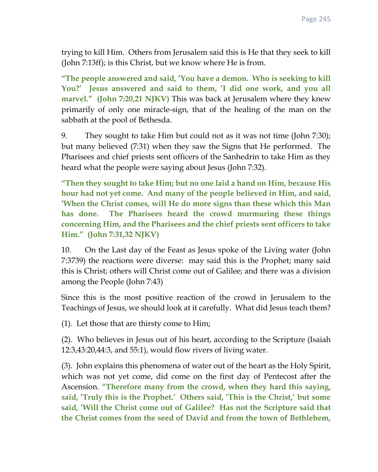trying to kill Him. Others from Jerusalem said this is He that they seek to kill (John 7:13ff); is this Christ, but we know where He is from.

**"The people answered and said, 'You have a demon. Who is seeking to kill You?' Jesus answered and said to them, 'I did one work, and you all marvel." (John 7:20,21 NJKV)** This was back at Jerusalem where they knew primarily of only one miracle-sign, that of the healing of the man on the sabbath at the pool of Bethesda.

9. They sought to take Him but could not as it was not time (John 7:30); but many believed (7:31) when they saw the Signs that He performed. The Pharisees and chief priests sent officers of the Sanhedrin to take Him as they heard what the people were saying about Jesus (John 7:32).

**"Then they sought to take Him; but no one laid a hand on Him, because His hour had not yet come. And many of the people believed in Him, and said, 'When the Christ comes, will He do more signs than these which this Man has done. The Pharisees heard the crowd murmuring these things concerning Him, and the Pharisees and the chief priests sent officers to take Him." (John 7:31,32 NJKV)**

10. On the Last day of the Feast as Jesus spoke of the Living water (John 7:3739) the reactions were diverse: may said this is the Prophet; many said this is Christ; others will Christ come out of Galilee; and there was a division among the People (John 7:43)

Since this is the most positive reaction of the crowd in Jerusalem to the Teachings of Jesus, we should look at it carefully. What did Jesus teach them?

(1). Let those that are thirsty come to Him;

(2). Who believes in Jesus out of his heart, according to the Scripture (Isaiah 12:3,43:20,44:3, and 55:1), would flow rivers of living water.

(3). John explains this phenomena of water out of the heart as the Holy Spirit, which was not yet come, did come on the first day of Pentecost after the Ascension. **"Therefore many from the crowd, when they hard this saying, said, 'Truly this is the Prophet.' Others said, 'This is the Christ,' but some said, 'Will the Christ come out of Galilee? Has not the Scripture said that the Christ comes from the seed of David and from the town of Bethlehem,**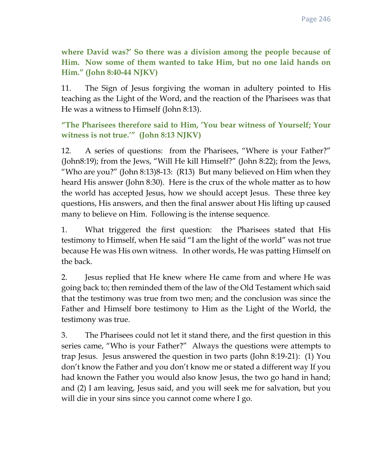**where David was?' So there was a division among the people because of Him. Now some of them wanted to take Him, but no one laid hands on Him." (John 8:40-44 NJKV)**

11. The Sign of Jesus forgiving the woman in adultery pointed to His teaching as the Light of the Word, and the reaction of the Pharisees was that He was a witness to Himself (John 8:13).

## **"The Pharisees therefore said to Him, 'You bear witness of Yourself; Your witness is not true.'" (John 8:13 NJKV)**

12. A series of questions: from the Pharisees, "Where is your Father?" (John8:19); from the Jews, "Will He kill Himself?" (John 8:22); from the Jews, "Who are you?" (John 8:13)8-13:  $(R13)$  But many believed on Him when they heard His answer (John 8:30). Here is the crux of the whole matter as to how the world has accepted Jesus, how we should accept Jesus. These three key questions, His answers, and then the final answer about His lifting up caused many to believe on Him. Following is the intense sequence.

1. What triggered the first question: the Pharisees stated that His testimony to Himself, when He said "I am the light of the world" was not true because He was His own witness. In other words, He was patting Himself on the back.

2. Jesus replied that He knew where He came from and where He was going back to; then reminded them of the law of the Old Testament which said that the testimony was true from two men; and the conclusion was since the Father and Himself bore testimony to Him as the Light of the World, the testimony was true.

3. The Pharisees could not let it stand there, and the first question in this series came, "Who is your Father?" Always the questions were attempts to trap Jesus. Jesus answered the question in two parts (John 8:19-21): (1) You don't know the Father and you don't know me or stated a different way If you had known the Father you would also know Jesus, the two go hand in hand; and (2) I am leaving, Jesus said, and you will seek me for salvation, but you will die in your sins since you cannot come where I go.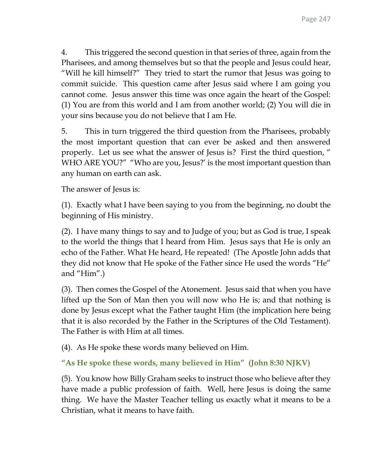4. This triggered the second question in that series of three, again from the Pharisees, and among themselves but so that the people and Jesus could hear, "Will he kill himself?" They tried to start the rumor that Jesus was going to commit suicide. This question came after Jesus said where I am going you cannot come. Jesus answer this time was once again the heart of the Gospel: (1) You are from this world and I am from another world; (2) You will die in your sins because you do not believe that I am He.

5. This in turn triggered the third question from the Pharisees, probably the most important question that can ever be asked and then answered properly. Let us see what the answer of Jesus is? First the third question, " WHO ARE YOU?" "Who are you, Jesus?' is the most important question than any human on earth can ask.

The answer of Jesus is:

(1). Exactly what I have been saying to you from the beginning, no doubt the beginning of His ministry.

(2). I have many things to say and to Judge of you; but as God is true, I speak to the world the things that I heard from Him. Jesus says that He is only an echo of the Father. What He heard, He repeated! (The Apostle John adds that they did not know that He spoke of the Father since He used the words "He" and "Him".)

(3). Then comes the Gospel of the Atonement. Jesus said that when you have lifted up the Son of Man then you will now who He is; and that nothing is done by Jesus except what the Father taught Him (the implication here being that it is also recorded by the Father in the Scriptures of the Old Testament). The Father is with Him at all times.

(4). As He spoke these words many believed on Him.

# **"As He spoke these words, many believed in Him" (John 8:30 NJKV)**

(5). You know how Billy Graham seeks to instruct those who believe after they have made a public profession of faith. Well, here Jesus is doing the same thing. We have the Master Teacher telling us exactly what it means to be a Christian, what it means to have faith.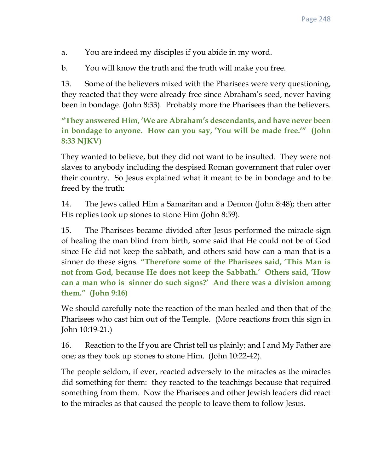a. You are indeed my disciples if you abide in my word.

b. You will know the truth and the truth will make you free.

13. Some of the believers mixed with the Pharisees were very questioning, they reacted that they were already free since Abraham's seed, never having been in bondage. (John 8:33). Probably more the Pharisees than the believers.

**"They answered Him, 'We are Abraham's descendants, and have never been in bondage to anyone. How can you say, 'You will be made free.'" (John 8:33 NJKV)**

They wanted to believe, but they did not want to be insulted. They were not slaves to anybody including the despised Roman government that ruler over their country. So Jesus explained what it meant to be in bondage and to be freed by the truth:

14. The Jews called Him a Samaritan and a Demon (John 8:48); then after His replies took up stones to stone Him (John 8:59).

15. The Pharisees became divided after Jesus performed the miracle-sign of healing the man blind from birth, some said that He could not be of God since He did not keep the sabbath, and others said how can a man that is a sinner do these signs. **"Therefore some of the Pharisees said, 'This Man is not from God, because He does not keep the Sabbath.' Others said, 'How can a man who is sinner do such signs?' And there was a division among them." (John 9:16)**

We should carefully note the reaction of the man healed and then that of the Pharisees who cast him out of the Temple. (More reactions from this sign in John 10:19-21.)

16. Reaction to the If you are Christ tell us plainly; and I and My Father are one; as they took up stones to stone Him. (John 10:22-42).

The people seldom, if ever, reacted adversely to the miracles as the miracles did something for them: they reacted to the teachings because that required something from them. Now the Pharisees and other Jewish leaders did react to the miracles as that caused the people to leave them to follow Jesus.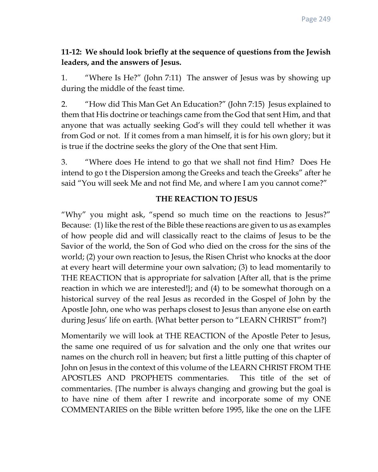# **11-12: We should look briefly at the sequence of questions from the Jewish leaders, and the answers of Jesus.**

1. "Where Is He?" (John 7:11) The answer of Jesus was by showing up during the middle of the feast time.

2. "How did This Man Get An Education?" (John 7:15) Jesus explained to them that His doctrine or teachings came from the God that sent Him, and that anyone that was actually seeking God's will they could tell whether it was from God or not. If it comes from a man himself, it is for his own glory; but it is true if the doctrine seeks the glory of the One that sent Him.

3. "Where does He intend to go that we shall not find Him? Does He intend to go t the Dispersion among the Greeks and teach the Greeks" after he said "You will seek Me and not find Me, and where I am you cannot come?"

#### **THE REACTION TO JESUS**

"Why" you might ask, "spend so much time on the reactions to Jesus?" Because: (1) like the rest of the Bible these reactions are given to us as examples of how people did and will classically react to the claims of Jesus to be the Savior of the world, the Son of God who died on the cross for the sins of the world; (2) your own reaction to Jesus, the Risen Christ who knocks at the door at every heart will determine your own salvation; (3) to lead momentarily to THE REACTION that is appropriate for salvation {After all, that is the prime reaction in which we are interested!}; and (4) to be somewhat thorough on a historical survey of the real Jesus as recorded in the Gospel of John by the Apostle John, one who was perhaps closest to Jesus than anyone else on earth during Jesus' life on earth. {What better person to "LEARN CHRIST" from?}

Momentarily we will look at THE REACTION of the Apostle Peter to Jesus, the same one required of us for salvation and the only one that writes our names on the church roll in heaven; but first a little putting of this chapter of John on Jesus in the context of this volume of the LEARN CHRIST FROM THE APOSTLES AND PROPHETS commentaries. This title of the set of commentaries. {The number is always changing and growing but the goal is to have nine of them after I rewrite and incorporate some of my ONE COMMENTARIES on the Bible written before 1995, like the one on the LIFE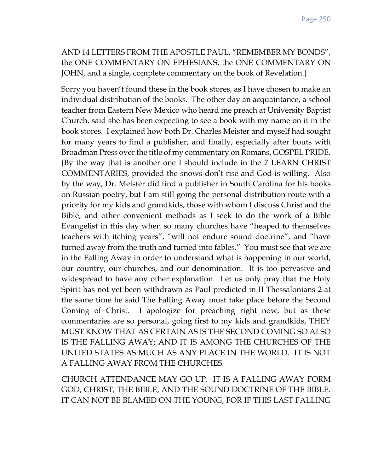AND 14 LETTERS FROM THE APOSTLE PAUL, "REMEMBER MY BONDS", the ONE COMMENTARY ON EPHESIANS, the ONE COMMENTARY ON JOHN, and a single, complete commentary on the book of Revelation.}

Sorry you haven't found these in the book stores, as I have chosen to make an individual distribution of the books. The other day an acquaintance, a school teacher from Eastern New Mexico who heard me preach at University Baptist Church, said she has been expecting to see a book with my name on it in the book stores. I explained how both Dr. Charles Meister and myself had sought for many years to find a publisher, and finally, especially after bouts with Broadman Press over the title of my commentary on Romans, GOSPEL PRIDE. {By the way that is another one I should include in the 7 LEARN CHRIST COMMENTARIES, provided the snows don't rise and God is willing. Also by the way, Dr. Meister did find a publisher in South Carolina for his books on Russian poetry, but I am still going the personal distribution route with a priority for my kids and grandkids, those with whom I discuss Christ and the Bible, and other convenient methods as I seek to do the work of a Bible Evangelist in this day when so many churches have "heaped to themselves teachers with itching years", "will not endure sound doctrine", and "have turned away from the truth and turned into fables." You must see that we are in the Falling Away in order to understand what is happening in our world, our country, our churches, and our denomination. It is too pervasive and widespread to have any other explanation. Let us only pray that the Holy Spirit has not yet been withdrawn as Paul predicted in II Thessalonians 2 at the same time he said The Falling Away must take place before the Second Coming of Christ. I apologize for preaching right now, but as these commentaries are so personal, going first to my kids and grandkids, THEY MUST KNOW THAT AS CERTAIN AS IS THE SECOND COMING SO ALSO IS THE FALLING AWAY; AND IT IS AMONG THE CHURCHES OF THE UNITED STATES AS MUCH AS ANY PLACE IN THE WORLD. IT IS NOT A FALLING AWAY FROM THE CHURCHES.

CHURCH ATTENDANCE MAY GO UP. IT IS A FALLING AWAY FORM GOD, CHRIST, THE BIBLE, AND THE SOUND DOCTRINE OF THE BIBLE. IT CAN NOT BE BLAMED ON THE YOUNG, FOR IF THIS LAST FALLING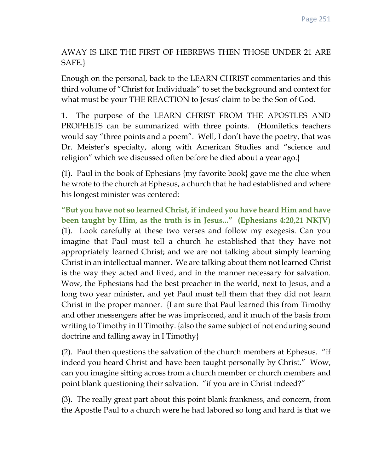# AWAY IS LIKE THE FIRST OF HEBREWS THEN THOSE UNDER 21 ARE SAFE.}

Enough on the personal, back to the LEARN CHRIST commentaries and this third volume of "Christ for Individuals" to set the background and context for what must be your THE REACTION to Jesus' claim to be the Son of God.

1. The purpose of the LEARN CHRIST FROM THE APOSTLES AND PROPHETS can be summarized with three points. (Homiletics teachers would say "three points and a poem". Well, I don't have the poetry, that was Dr. Meister's specialty, along with American Studies and "science and religion" which we discussed often before he died about a year ago.}

(1). Paul in the book of Ephesians {my favorite book} gave me the clue when he wrote to the church at Ephesus, a church that he had established and where his longest minister was centered:

**"But you have not so learned Christ, if indeed you have heard Him and have been taught by Him, as the truth is in Jesus..." (Ephesians 4:20,21 NKJV)** (1). Look carefully at these two verses and follow my exegesis. Can you imagine that Paul must tell a church he established that they have not appropriately learned Christ; and we are not talking about simply learning Christ in an intellectual manner. We are talking about them not learned Christ is the way they acted and lived, and in the manner necessary for salvation. Wow, the Ephesians had the best preacher in the world, next to Jesus, and a long two year minister, and yet Paul must tell them that they did not learn Christ in the proper manner. {I am sure that Paul learned this from Timothy and other messengers after he was imprisoned, and it much of the basis from writing to Timothy in II Timothy. {also the same subject of not enduring sound doctrine and falling away in I Timothy}

(2). Paul then questions the salvation of the church members at Ephesus. "if indeed you heard Christ and have been taught personally by Christ." Wow, can you imagine sitting across from a church member or church members and point blank questioning their salvation. "if you are in Christ indeed?"

(3). The really great part about this point blank frankness, and concern, from the Apostle Paul to a church were he had labored so long and hard is that we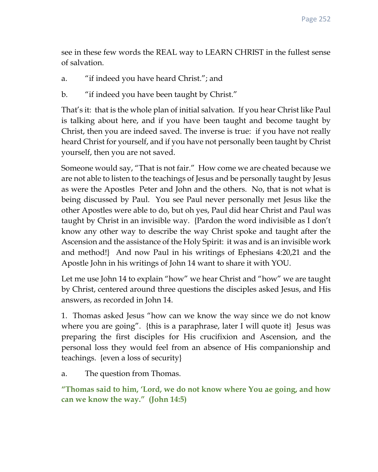see in these few words the REAL way to LEARN CHRIST in the fullest sense of salvation.

- a. "if indeed you have heard Christ."; and
- b. "if indeed you have been taught by Christ."

That's it: that is the whole plan of initial salvation. If you hear Christ like Paul is talking about here, and if you have been taught and become taught by Christ, then you are indeed saved. The inverse is true: if you have not really heard Christ for yourself, and if you have not personally been taught by Christ yourself, then you are not saved.

Someone would say, "That is not fair." How come we are cheated because we are not able to listen to the teachings of Jesus and be personally taught by Jesus as were the Apostles Peter and John and the others. No, that is not what is being discussed by Paul. You see Paul never personally met Jesus like the other Apostles were able to do, but oh yes, Paul did hear Christ and Paul was taught by Christ in an invisible way. {Pardon the word indivisible as I don't know any other way to describe the way Christ spoke and taught after the Ascension and the assistance of the Holy Spirit: it was and is an invisible work and method!} And now Paul in his writings of Ephesians 4:20,21 and the Apostle John in his writings of John 14 want to share it with YOU.

Let me use John 14 to explain "how" we hear Christ and "how" we are taught by Christ, centered around three questions the disciples asked Jesus, and His answers, as recorded in John 14.

1. Thomas asked Jesus "how can we know the way since we do not know where you are going". {this is a paraphrase, later I will quote it} Jesus was preparing the first disciples for His crucifixion and Ascension, and the personal loss they would feel from an absence of His companionship and teachings. {even a loss of security}

a. The question from Thomas.

**"Thomas said to him, 'Lord, we do not know where You ae going, and how can we know the way." (John 14:5)**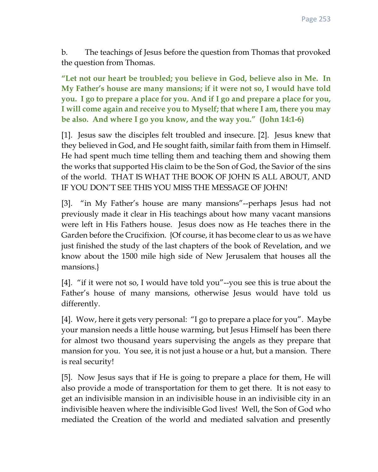b. The teachings of Jesus before the question from Thomas that provoked the question from Thomas.

**"Let not our heart be troubled; you believe in God, believe also in Me. In My Father's house are many mansions; if it were not so, I would have told you. I go to prepare a place for you. And if I go and prepare a place for you, I will come again and receive you to Myself; that where I am, there you may be also. And where I go you know, and the way you." (John 14:1-6)**

[1]. Jesus saw the disciples felt troubled and insecure. [2]. Jesus knew that they believed in God, and He sought faith, similar faith from them in Himself. He had spent much time telling them and teaching them and showing them the works that supported His claim to be the Son of God, the Savior of the sins of the world. THAT IS WHAT THE BOOK OF JOHN IS ALL ABOUT, AND IF YOU DON'T SEE THIS YOU MISS THE MESSAGE OF JOHN!

[3]. "in My Father's house are many mansions"--perhaps Jesus had not previously made it clear in His teachings about how many vacant mansions were left in His Fathers house. Jesus does now as He teaches there in the Garden before the Crucifixion. {Of course, it has become clear to us as we have just finished the study of the last chapters of the book of Revelation, and we know about the 1500 mile high side of New Jerusalem that houses all the mansions.}

[4]. "if it were not so, I would have told you"--you see this is true about the Father's house of many mansions, otherwise Jesus would have told us differently.

[4]. Wow, here it gets very personal: "I go to prepare a place for you". Maybe your mansion needs a little house warming, but Jesus Himself has been there for almost two thousand years supervising the angels as they prepare that mansion for you. You see, it is not just a house or a hut, but a mansion. There is real security!

[5]. Now Jesus says that if He is going to prepare a place for them, He will also provide a mode of transportation for them to get there. It is not easy to get an indivisible mansion in an indivisible house in an indivisible city in an indivisible heaven where the indivisible God lives! Well, the Son of God who mediated the Creation of the world and mediated salvation and presently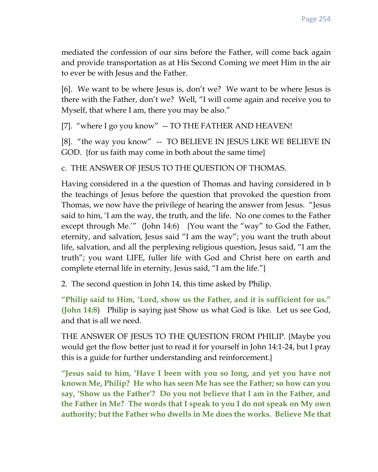mediated the confession of our sins before the Father, will come back again and provide transportation as at His Second Coming we meet Him in the air to ever be with Jesus and the Father.

[6]. We want to be where Jesus is, don't we? We want to be where Jesus is there with the Father, don't we? Well, "I will come again and receive you to Myself, that where I am, there you may be also."

```
[7]. "where I go you know" -- TO THE FATHER AND HEAVEN!
```
[8]. "the way you know" -- TO BELIEVE IN JESUS LIKE WE BELIEVE IN GOD. {for us faith may come in both about the same time}

c. THE ANSWER OF JESUS TO THE QUESTION OF THOMAS.

Having considered in a the question of Thomas and having considered in b the teachings of Jesus before the question that provoked the question from Thomas, we now have the privilege of hearing the answer from Jesus. "Jesus said to him, 'I am the way, the truth, and the life. No one comes to the Father except through Me.'" (John 14:6) {You want the "way" to God the Father, eternity, and salvation, Jesus said "I am the way"; you want the truth about life, salvation, and all the perplexing religious question, Jesus said, "I am the truth"; you want LIFE, fuller life with God and Christ here on earth and complete eternal life in eternity, Jesus said, "I am the life."}

2. The second question in John 14, this time asked by Philip.

**"Philip said to Him, 'Lord, show us the Father, and it is sufficient for us." (John 14:8**) Philip is saying just Show us what God is like. Let us see God, and that is all we need.

THE ANSWER OF JESUS TO THE QUESTION FROM PHILIP. {Maybe you would get the flow better just to read it for yourself in John 14:1-24, but I pray this is a guide for further understanding and reinforcement.}

**"Jesus said to him, 'Have I been with you so long, and yet you have not known Me, Philip? He who has seen Me has see the Father; so how can you say, 'Show us the Father'? Do you not believe that I am in the Father, and the Father in Me? The words that I speak to you I do not speak on My own authority; but the Father who dwells in Me does the works. Believe Me that**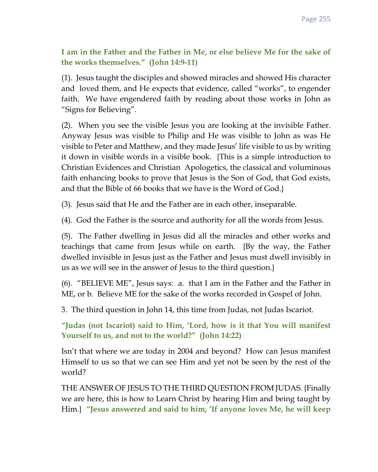**I am in the Father and the Father in Me, or else believe Me for the sake of the works themselves." (John 14:9-11)**

(1). Jesus taught the disciples and showed miracles and showed His character and loved them, and He expects that evidence, called "works", to engender faith. We have engendered faith by reading about those works in John as "Signs for Believing".

(2). When you see the visible Jesus you are looking at the invisible Father. Anyway Jesus was visible to Philip and He was visible to John as was He visible to Peter and Matthew, and they made Jesus' life visible to us by writing it down in visible words in a visible book. {This is a simple introduction to Christian Evidences and Christian Apologetics, the classical and voluminous faith enhancing books to prove that Jesus is the Son of God, that God exists, and that the Bible of 66 books that we have is the Word of God.}

(3). Jesus said that He and the Father are in each other, inseparable.

(4). God the Father is the source and authority for all the words from Jesus.

(5). The Father dwelling in Jesus did all the miracles and other works and teachings that came from Jesus while on earth. {By the way, the Father dwelled invisible in Jesus just as the Father and Jesus must dwell invisibly in us as we will see in the answer of Jesus to the third question.}

(6). "BELIEVE ME", Jesus says: a. that I am in the Father and the Father in ME, or b. Believe ME for the sake of the works recorded in Gospel of John.

3. The third question in John 14, this time from Judas, not Judas Iscariot.

**"Judas (not Iscariot) said to Him, 'Lord, how is it that You will manifest Yourself to us, and not to the world?" (John 14:22)**

Isn't that where we are today in 2004 and beyond? How can Jesus manifest Himself to us so that we can see Him and yet not be seen by the rest of the world?

THE ANSWER OF JESUS TO THE THIRD QUESTION FROM JUDAS. {Finally we are here, this is how to Learn Christ by hearing Him and being taught by Him.} **"Jesus answered and said to him, 'If anyone loves Me, he will keep**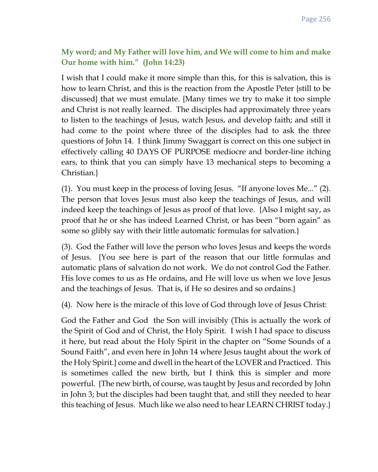# **My word; and My Father will love him, and We will come to him and make Our home with him." (John 14:23)**

I wish that I could make it more simple than this, for this is salvation, this is how to learn Christ, and this is the reaction from the Apostle Peter {still to be discussed} that we must emulate. {Many times we try to make it too simple and Christ is not really learned. The disciples had approximately three years to listen to the teachings of Jesus, watch Jesus, and develop faith; and still it had come to the point where three of the disciples had to ask the three questions of John 14. I think Jimmy Swaggart is correct on this one subject in effectively calling 40 DAYS OF PURPOSE mediocre and border-line itching ears, to think that you can simply have 13 mechanical steps to becoming a Christian.}

(1). You must keep in the process of loving Jesus. "If anyone loves Me..." (2). The person that loves Jesus must also keep the teachings of Jesus, and will indeed keep the teachings of Jesus as proof of that love. {Also I might say, as proof that he or she has indeed Learned Christ, or has been "born again" as some so glibly say with their little automatic formulas for salvation.}

(3). God the Father will love the person who loves Jesus and keeps the words of Jesus. {You see here is part of the reason that our little formulas and automatic plans of salvation do not work. We do not control God the Father. His love comes to us as He ordains, and He will love us when we love Jesus and the teachings of Jesus. That is, if He so desires and so ordains.}

(4). Now here is the miracle of this love of God through love of Jesus Christ:

God the Father and God the Son will invisibly (This is actually the work of the Spirit of God and of Christ, the Holy Spirit. I wish I had space to discuss it here, but read about the Holy Spirit in the chapter on "Some Sounds of a Sound Faith", and even here in John 14 where Jesus taught about the work of the Holy Spirit.} come and dwell in the heart of the LOVER and Practiced. This is sometimes called the new birth, but I think this is simpler and more powerful. {The new birth, of course, was taught by Jesus and recorded by John in John 3; but the disciples had been taught that, and still they needed to hear this teaching of Jesus. Much like we also need to hear LEARN CHRIST today.}